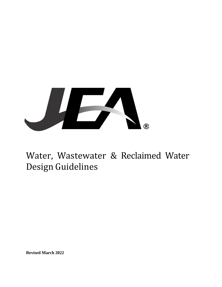

**Revised March 2022**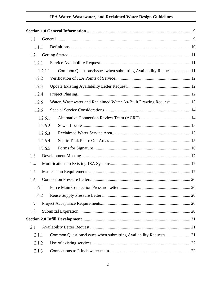| 1.1 |         |                                                                   |  |
|-----|---------|-------------------------------------------------------------------|--|
|     | 1.1.1   |                                                                   |  |
| 1.2 |         |                                                                   |  |
|     | 1.2.1   |                                                                   |  |
|     | 1.2.1.1 | Common Questions/Issues when submitting Availability Requests  11 |  |
|     | 1.2.2   |                                                                   |  |
|     | 1.2.3   |                                                                   |  |
|     | 1.2.4   |                                                                   |  |
|     | 1.2.5   | Water, Wastewater and Reclaimed Water As-Built Drawing Request 13 |  |
|     | 1.2.6   |                                                                   |  |
|     | 1.2.6.1 |                                                                   |  |
|     | 1.2.6.2 |                                                                   |  |
|     | 1.2.6.3 |                                                                   |  |
|     | 1.2.6.4 |                                                                   |  |
|     | 1.2.6.5 |                                                                   |  |
| 1.3 |         |                                                                   |  |
| 1.4 |         |                                                                   |  |
| 1.5 |         |                                                                   |  |
| 1.6 |         |                                                                   |  |
|     | 1.6.1   |                                                                   |  |
|     | 1.6.2   |                                                                   |  |
| 1.7 |         |                                                                   |  |
| 1.8 |         |                                                                   |  |
|     |         |                                                                   |  |
| 2.1 |         |                                                                   |  |
|     | 2.1.1   | Common Questions/Issues when submitting Availability Requests  21 |  |
|     | 2.1.2   |                                                                   |  |
|     | 2.1.3   |                                                                   |  |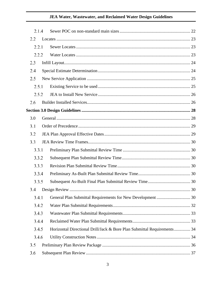| 2.1.4 |                                                                         |  |
|-------|-------------------------------------------------------------------------|--|
| 2.2   |                                                                         |  |
| 2.2.1 |                                                                         |  |
| 2.2.2 |                                                                         |  |
| 2.3   |                                                                         |  |
| 2.4   |                                                                         |  |
| 2.5   |                                                                         |  |
| 2.5.1 |                                                                         |  |
| 2.5.2 |                                                                         |  |
| 2.6   |                                                                         |  |
|       |                                                                         |  |
| 3.0   |                                                                         |  |
| 3.1   |                                                                         |  |
| 3.2   |                                                                         |  |
| 3.3   |                                                                         |  |
| 3.3.1 |                                                                         |  |
| 3.3.2 |                                                                         |  |
| 3.3.3 |                                                                         |  |
| 3.3.4 |                                                                         |  |
| 3.3.5 |                                                                         |  |
|       |                                                                         |  |
| 3.4.1 |                                                                         |  |
| 3.4.2 |                                                                         |  |
| 3.4.3 |                                                                         |  |
| 3.4.4 |                                                                         |  |
| 3.4.5 | Horizontal Directional Drill/Jack & Bore Plan Submittal Requirements 34 |  |
| 3.4.6 |                                                                         |  |
| 3.5   |                                                                         |  |
| 3.6   |                                                                         |  |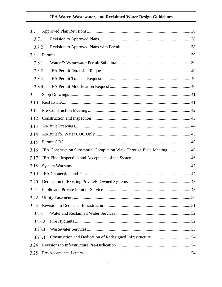| 3.7    |        |                                                                       |  |
|--------|--------|-----------------------------------------------------------------------|--|
| 3.7.1  |        |                                                                       |  |
| 3.7.2  |        |                                                                       |  |
| 3.8    |        |                                                                       |  |
| 3.8.1  |        |                                                                       |  |
| 3.8.2  |        |                                                                       |  |
| 3.8.3  |        |                                                                       |  |
| 3.8.4  |        |                                                                       |  |
| 3.9    |        |                                                                       |  |
| 3.10   |        |                                                                       |  |
| 3.11   |        |                                                                       |  |
| 3.12   |        |                                                                       |  |
| 3.13   |        |                                                                       |  |
| 3.14   |        |                                                                       |  |
| 3.15   |        |                                                                       |  |
| 3.16   |        | JEA Construction Substantial Completion Walk Through Field Meeting 46 |  |
| 3.17   |        |                                                                       |  |
| 3.18   |        |                                                                       |  |
| 3.19   |        |                                                                       |  |
| 3.20   |        |                                                                       |  |
|        |        |                                                                       |  |
| 3.22   |        |                                                                       |  |
| 3.23   |        |                                                                       |  |
| 3.23.1 |        |                                                                       |  |
|        | 3.23.2 |                                                                       |  |
|        | 3.23.3 |                                                                       |  |
|        | 3.23.4 |                                                                       |  |
| 3.24   |        |                                                                       |  |
| 3.25   |        |                                                                       |  |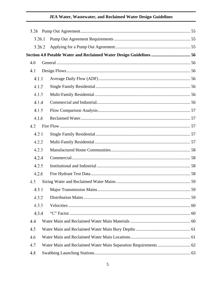|       | 3.26.1 |  |
|-------|--------|--|
|       | 3.26.2 |  |
|       |        |  |
| 4.0   |        |  |
| 4.1   |        |  |
| 4.1.1 |        |  |
|       |        |  |
| 4.1.2 |        |  |
| 4.1.3 |        |  |
| 4.1.4 |        |  |
| 4.1.5 |        |  |
| 4.1.6 |        |  |
| 4.2   |        |  |
| 4.2.1 |        |  |
| 4.2.2 |        |  |
| 4.2.3 |        |  |
| 4.2.4 |        |  |
| 4.2.5 |        |  |
| 4.2.6 |        |  |
| 4.3   |        |  |
|       |        |  |
| 4.3.2 |        |  |
| 4.3.3 |        |  |
| 4.3.4 |        |  |
| 4.4   |        |  |
| 4.5   |        |  |
| 4.6   |        |  |
| 4.7   |        |  |
| 4.8   |        |  |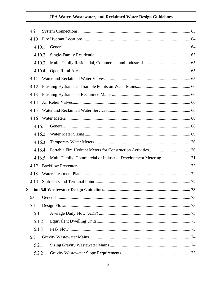| 4.9 |        |  |  |
|-----|--------|--|--|
|     | 4.10   |  |  |
|     | 4.10.1 |  |  |
|     | 4.10.2 |  |  |
|     | 4.10.3 |  |  |
|     | 4.10.4 |  |  |
|     | 4.11   |  |  |
|     | 4.12   |  |  |
|     | 4.13   |  |  |
|     | 4.14   |  |  |
|     | 4.15   |  |  |
|     | 4.16   |  |  |
|     | 4.16.1 |  |  |
|     | 4.16.2 |  |  |
|     | 4.16.3 |  |  |
|     | 4.16.4 |  |  |
|     | 4.16.5 |  |  |
|     | 4.17   |  |  |
|     | 4.18   |  |  |
|     | 4.19   |  |  |
|     |        |  |  |
| 5.0 |        |  |  |
| 5.1 |        |  |  |
|     | 5.1.1  |  |  |
|     | 5.1.2  |  |  |
|     | 5.1.3  |  |  |
|     | 5.2    |  |  |
|     | 5.2.1  |  |  |
|     | 5.2.2  |  |  |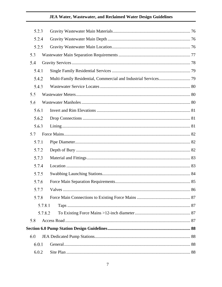| 5.2.3   |  |  |  |
|---------|--|--|--|
| 5.2.4   |  |  |  |
| 5.2.5   |  |  |  |
| 5.3     |  |  |  |
| 5.4     |  |  |  |
| 5.4.1   |  |  |  |
| 5.4.2   |  |  |  |
| 5.4.3   |  |  |  |
| 5.5     |  |  |  |
| 5.6     |  |  |  |
| 5.6.1   |  |  |  |
| 5.6.2   |  |  |  |
| 5.6.3   |  |  |  |
| 5.7     |  |  |  |
| 5.7.1   |  |  |  |
| 5.7.2   |  |  |  |
| 5.7.3   |  |  |  |
| 5.7.4   |  |  |  |
| 5.7.5   |  |  |  |
| 5.7.6   |  |  |  |
| 5.7.7   |  |  |  |
| 5.7.8   |  |  |  |
| 5.7.8.1 |  |  |  |
| 5.7.8.2 |  |  |  |
| 5.8     |  |  |  |
|         |  |  |  |
| 6.0     |  |  |  |
| 6.0.1   |  |  |  |
| 6.0.2   |  |  |  |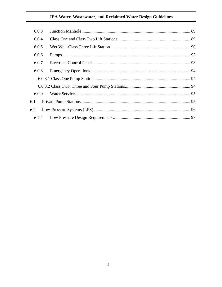| 6.0.3 |  |
|-------|--|
| 6.0.4 |  |
| 6.0.5 |  |
| 6.0.6 |  |
| 6.0.7 |  |
| 6.0.8 |  |
|       |  |
|       |  |
| 6.0.9 |  |
| 6.1   |  |
| 6.2   |  |
| 6.2.1 |  |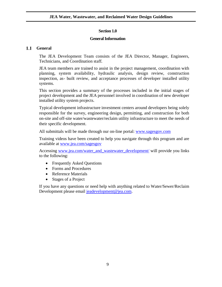### **Section 1.0**

#### **General Information**

#### <span id="page-8-1"></span><span id="page-8-0"></span> $1.1$ **General**

The JEA Development Team consists of the JEA Director, Manager, Engineers, Technicians, and Coordination staff.

JEA team members are trained to assist in the project management, coordination with planning, system availability, hydraulic analysis, design review, construction inspection, as- built review, and acceptance processes of developer installed utility systems.

This section provides a summary of the processes included in the initial stages of project development and the JEA personnel involved in coordination of new developer installed utility system projects.

Typical development infrastructure investment centers around developers being solely responsible for the survey, engineering design, permitting, and construction for both on-site and off-site water/wastewater/reclaim utility infrastructure to meet the needs of their specific development.

All submittals will be made through our on-line portal: [www.sagesgov.com](http://www.sagesgov.com/)

Training videos have been created to help you navigate through this program and are available at [www.jea.com/sagesgov](http://www.jea.com/sagesgov)

Accessing [www.jea.com/water\\_and\\_wastewater\\_development/](http://www.jea.com/water_and_wastewater_development/) will provide you links to the following:

- Frequently Asked Questions
- Forms and Procedures
- Reference Materials
- Stages of a Project

If you have any questions or need help with anything related to Water/Sewer/Reclaim Development please email [jeadevelopment@jea.com.](mailto:jeadevelopment@jea.com)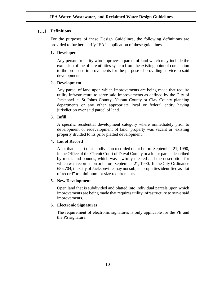#### <span id="page-9-0"></span>**Definitions**

For the purposes of these Design Guidelines, the following definitions are provided to further clarify JEA's application of these guidelines.

### **1. Developer**

Any person or entity who improves a parcel of land which may include the extension of the offsite utilities system from the existing point of connection to the proposed improvements for the purpose of providing service to said development.

### **2. Development**

Any parcel of land upon which improvements are being made that require utility infrastructure to serve said improvements as defined by the City of Jacksonville, St Johns County, Nassau County or Clay County planning departments or any other appropriate local or federal entity having jurisdiction over said parcel of land.

### **3. Infill**

A specific residential development category where immediately prior to development or redevelopment of land, property was vacant or, existing property divided to its prior platted development.

### **4. Lot of Record**

A lot that is part of a subdivision recorded on or before September 21, 1990, in the Office of the Circuit Court of Duval County or a lot or parcel described by metes and bounds, which was lawfully created and the description for which was recorded on or before September 21, 1990. In the City Ordinance 656.704, the City of Jacksonville may not subject properties identified as "lot of record" to minimum lot size requirements.

#### **5. New Development**

Open land that is subdivided and platted into individual parcels upon which improvements are being made that requires utility infrastructure to serve said improvements.

#### **6. Electronic Signatures**

The requirement of electronic signatures is only applicable for the PE and the PS signature.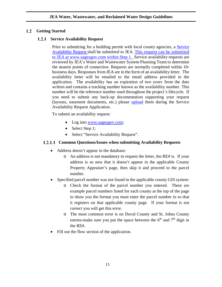### <span id="page-10-0"></span>**Getting Started**

#### **1.2.1 Service Availability Request**

<span id="page-10-1"></span>Prior to submitting for a building permit with local county agencies, a Service Availability Request shall be submitted to JEA. This request can be submitted to JEA at [www.sagesgov.com](http://www.sagesgov.com/) within Step 1. Service availability requests are reviewed by JEA's Water and Wastewater System Planning Team to determine the nearest points of connection. Requests are normally completed within 10 business days. Responses from JEA are in the form of an availability letter. The availability letter will be emailed to the email address provided in the application. The availability has an expiration of two years from the date written and contains a tracking number known as the availability number. This number will be the reference number used throughout the project's lifecycle. If you need to submit any back-up documentation supporting your request (layouts, easement documents, etc.) please [upload](mailto:upload) them during the Service Availability Request Application.

To submit an availability request:

- Log into [www.sagesgov.com;](http://www.sagesgov.com/)
- Select Step 1;
- Select "Service Availability Request".

### <span id="page-10-2"></span>**Common Questions/Issues when submitting Availability Requests**

- Address doesn't appear in the database:
	- o An address is not mandatory to request the letter, the RE# is. If your address is so new that it doesn't appear in the applicable County Property Appraiser's page, then skip it and proceed to the parcel number.
- Specified parcel number was not found in the applicable county GIS system:
	- o Check the format of the parcel number you entered. There are example parcel numbers listed for each county at the top of the page to show you the format you must enter the parcel number in so that it registers on that applicable county page. If your format is not correct you will get this error.
	- o The most common error is on Duval County and St. Johns County entries-make sure you put the space between the  $6<sup>th</sup>$  and  $7<sup>th</sup>$  digit in the RE#.
- Fill out the flow section of the application.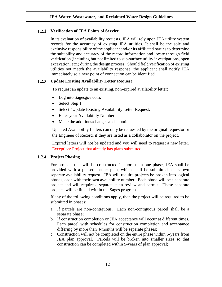#### <span id="page-11-0"></span>**Verification of JEA Points of Service**

In its evaluation of availability requests, JEA will rely upon JEA utility system records for the accuracy of existing JEA utilities. It shall be the sole and exclusive responsibility of the applicant and/or its affiliated parties to determine the suitability and accuracy of the record information and locate through field verification (including but not limited to sub-surface utility investigations, open excavation, etc.) during the design process. Should field verification of existing utilities not match the availability response, the applicant shall notify JEA immediately so a new point of connection can be identified.

#### <span id="page-11-1"></span>**Update Existing Availability Letter Request**

To request an update to an existing, non-expired availability letter:

- Log into Sagesgov.com;
- Select Step 1;
- Select "Update Existing Availability Letter Request;
- Enter your Availability Number;
- Make the additions/changes and submit.

Updated Availability Letters can only be requested by the original requestor or the Engineer of Record, if they are listed as a collaborator on the project.

Expired letters will not be updated and you will need to request a new letter. Exception: Project that already has plans submitted.

#### <span id="page-11-2"></span>1.2.4 Project Phasing

For projects that will be constructed in more than one phase, JEA shall be provided with a phased master plan, which shall be submitted as its own separate availability request. JEA will require projects be broken into logical phases, each with their own availability number. Each phase will be a separate project and will require a separate plan review and permit. These separate projects will be linked within the Sages program.

If any of the following conditions apply, then the project will be required to be submitted in phases:

- a. If parcels are non-contiguous. Each non-contiguous parcel shall be a separate phase;
- b. If construction completion or JEA acceptance will occur at different times. Each parcel with schedules for construction completion and acceptance differing by more than 4-months will be separate phases;
- c. Construction will not be completed on the entire phase within 5-years from JEA plan approval. Parcels will be broken into smaller sizes so that construction can be completed within 5-years of plan approval;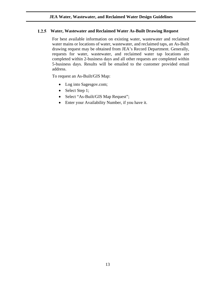#### <span id="page-12-0"></span>**Water, Wastewater and Reclaimed Water As-Built Drawing Request**

For best available information on existing water, wastewater and reclaimed water mains or locations of water, wastewater, and reclaimed taps, an As-Built drawing request may be obtained from JEA's Record Department. Generally, requests for water, wastewater, and reclaimed water tap locations are completed within 2-business days and all other requests are completed within 5-business days. Results will be emailed to the customer provided email address.

To request an As-Built/GIS Map:

- Log into Sagesgov.com;
- Select Step 1;
- Select "As-Built/GIS Map Request";
- Enter your Availability Number, if you have it.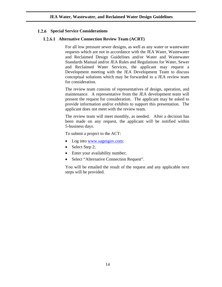#### <span id="page-13-1"></span><span id="page-13-0"></span>**Special Service Considerations**

#### **Alternative Connection Review Team (ACRT)**

For all low pressure sewer designs, as well as any water or wastewater requests which are not in accordance with the JEA Water, Wastewater and Reclaimed Design Guidelines and/or Water and Wastewater Standards Manual and/or JEA Rules and Regulations for Water, Sewer and Reclaimed Water Services, the applicant may request a Development meeting with the JEA Development Team to discuss conceptual solutions which may be forwarded to a JEA review team for consideration.

The review team consists of representatives of design, operation, and maintenance. A representative from the JEA development team will present the request for consideration. The applicant may be asked to provide information and/or exhibits to support this presentation. The applicant does not meet with the review team.

The review team will meet monthly, as needed. After a decision has been made on any request, the applicant will be notified within 5-business days.

To submit a project to the ACT:

- Log into [www.sagesgov.com;](http://www.sagesgov.com/)
- Select Step 2;
- Enter your availability number;
- Select "Alternative Connection Request".

You will be emailed the result of the request and any applicable next steps will be provided.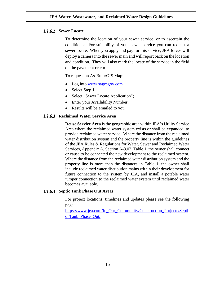#### <span id="page-14-0"></span>1.2.6.2 Sewer Locate

To determine the location of your sewer service, or to ascertain the condition and/or suitability of your sewer service you can request a sewer locate. When you apply and pay for this service, JEA forces will deploy a camera into the sewer main and will report back on the location and condition. They will also mark the locate of the service in the field on the pavement or curb.

To request an As-Built/GIS Map:

- Log into [www.sagesgov.com](http://www.sagesgov.com/)
- Select Step 1;
- Select "Sewer Locate Application";
- Enter your Availability Number;
- Results will be emailed to you.

#### <span id="page-14-1"></span>**Reclaimed Water Service Area**

**Reuse Service Area** is the geographic area within JEA's Utility Service Area where the reclaimed water system exists or shall be expanded, to provide reclaimed water service. Where the distance from the reclaimed water distribution system and the property line is within the guidelines of the JEA Rules & Regulations for Water, Sewer and Reclaimed Water Services, Appendix A, Section A-3.02, Table 1, the owner shall connect or cause to be connected the new development to the reclaimed system. Where the distance from the reclaimed water distribution system and the property line is more than the distances in Table 1, the owner shall include reclaimed water distribution mains within their development for future connection to the system by JEA, and install a potable water jumper connection to the reclaimed water system until reclaimed water becomes available.

#### <span id="page-14-2"></span>**Septic Tank Phase Out Areas**

For project locations, timelines and updates please see the following page:

[https://www.jea.com/In\\_Our\\_Community/Construction\\_Projects/Septi](https://www.jea.com/In_Our_Community/Construction_Projects/Septic_Tank_Phase_Out/) [c\\_Tank\\_Phase\\_Out/](https://www.jea.com/In_Our_Community/Construction_Projects/Septic_Tank_Phase_Out/)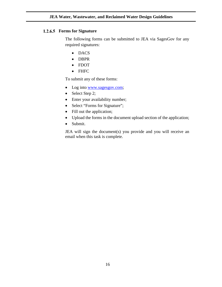#### <span id="page-15-0"></span>**Forms for Signature**

The following forms can be submitted to JEA via SagesGov for any required signatures:

- DACS
- DBPR
- FDOT
- FHFC

To submit any of these forms:

- Log into [www.sagesgov.com;](http://www.sagesgov.com/)
- Select Step 2;
- Enter your availability number;
- Select "Forms for Signature";
- Fill out the application;
- Upload the forms in the document upload section of the application;
- Submit.

JEA will sign the document(s) you provide and you will receive an email when this task is complete.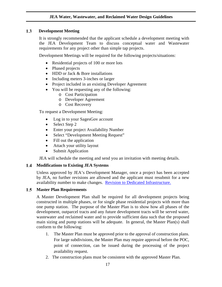#### $1.3$  **Development Meeting**

<span id="page-16-0"></span>It is strongly recommended that the applicant schedule a development meeting with the JEA Development Team to discuss conceptual water and Wastewater requirements for any project other than simple tap projects.

Development Meetings will be required for the following projects/situations:

- Residential projects of 100 or more lots
- Phased projects
- HDD or Jack & Bore installations
- Including meters 3-inches or larger
- Project included in an existing Developer Agreement
- You will be requesting any of the following:
	- o Cost Participation
	- o Developer Agreement
	- o Cost Recovery

To request a Development Meeting:

- Log in to your SagesGov account
- Select Step 2
- Enter your project Availability Number
- Select "Development Meeting Request"
- Fill out the application
- Attach your utility layout
- Submit Application

JEA will schedule the meeting and send you an invitation with meeting details.

### <span id="page-16-1"></span>**Modifications to Existing JEA Systems**

Unless approved by JEA's Development Manager, once a project has been accepted by JEA, no further revisions are allowed and the applicant must resubmit for a new availability number to make changes. [Revision to Dedicated Infrastructure.](#page-50-0)

#### <span id="page-16-2"></span>**Master Plan Requirements**

A Master Development Plan shall be required for all development projects being constructed in multiple phases, or for single phase residential projects with more than one pump station. The purpose of the Master Plan is to show how all phases of the development, outparcel tracts and any future development tracts will be served water, wastewater and reclaimed water and to provide sufficient data such that the proposed main sizing and pump stations will be adequate. In general, the Master Plan(s) shall conform to the following:

- 1. The Master Plan must be approved prior to the approval of construction plans. For large subdivisions, the Master Plan may require approval before the POC, point of connection, can be issued during the processing of the project availability request.
- 2. The construction plans must be consistent with the approved Master Plan.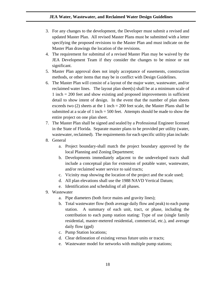- 3. For any changes to the development, the Developer must submit a revised and updated Master Plan. All revised Master Plans must be submitted with a letter specifying the proposed revisions to the Master Plan and must indicate on the Master Plan drawings the location of the revisions.
- 4. The requirement for submittal of a revised Master Plan may be waived by the JEA Development Team if they consider the changes to be minor or not significant.
- 5. Master Plan approval does not imply acceptance of easements, construction methods, or other items that may be in conflict with Design Guidelines.
- 6. The Master Plan will consist of a layout of the major water, wastewater, and/or reclaimed water lines. The layout plan sheet(s) shall be at a minimum scale of 1 inch = 200 feet and show existing and proposed improvements in sufficient detail to show intent of design. In the event that the number of plan sheets exceeds two (2) sheets at the 1 inch  $= 200$  feet scale, the Master Plans shall be submitted at a scale of 1 inch  $= 500$  feet. Attempts should be made to show the entire project on one plan sheet.
- 7. The Master Plan shall be signed and sealed by a Professional Engineer licensed in the State of Florida. Separate master plans to be provided per utility (water, wastewater, reclaimed). The requirements for each specific utility plan include:
- 8. General
	- a. Project boundary-shall match the project boundary approved by the local Planning and Zoning Department;
	- b. Developments immediately adjacent to the undeveloped tracts shall include a conceptual plan for extension of potable water, wastewater, and/or reclaimed water service to said tracts;
	- c. Vicinity map showing the location of the project and the scale used;
	- d. All plan elevations shall use the 1988 NAVD Vertical Datum;
	- e. Identification and scheduling of all phases.
- 9. Wastewater
	- a. Pipe diameters (both force mains and gravity lines);
	- b. Total wastewater flow (both average daily flow and peak) to each pump station. A summary of each unit, tract, or phase, including the contribution to each pump station stating: Type of use (single family residential, master-metered residential, commercial, etc.), and average daily flow (gpd)
	- c. Pump Station locations;
	- d. Clear delineation of existing versus future units or tracts;
	- e. Wastewater model for networks with multiple pump stations;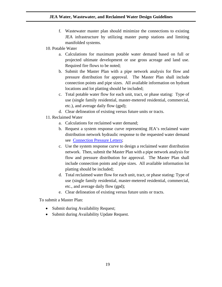- f. Wastewater master plan should minimize the connections to existing JEA infrastructure by utilizing master pump stations and limiting manifolded systems.
- 10. Potable Water
	- a. Calculations for maximum potable water demand based on full or projected ultimate development or use gross acreage and land use. Required fire flows to be noted;
	- b. Submit the Master Plan with a pipe network analysis for flow and pressure distribution for approval. The Master Plan shall include connection points and pipe sizes. All available information on hydrant locations and lot platting should be included;
	- c. Total potable water flow for each unit, tract, or phase stating: Type of use (single family residential, master-metered residential, commercial, etc.), and average daily flow (gpd);
	- d. Clear delineation of existing versus future units or tracts.
- 11. Reclaimed Water
	- a. Calculations for reclaimed water demand;
	- b. Request a system response curve representing JEA's reclaimed water distribution network hydraulic response to the requested water demand see [Connection Pressure Letters;](#page-19-0)
	- c. Use the system response curve to design a reclaimed water distribution network. Then, submit the Master Plan with a pipe network analysis for flow and pressure distribution for approval. The Master Plan shall include connection points and pipe sizes. All available information lot platting should be included;
	- d. Total reclaimed water flow for each unit, tract, or phase stating: Type of use (single family residential, master-metered residential, commercial, etc., and average daily flow (gpd);
	- e. Clear delineation of existing versus future units or tracts.

To submit a Master Plan:

- Submit during Availability Request;
- Submit during Availability Update Request.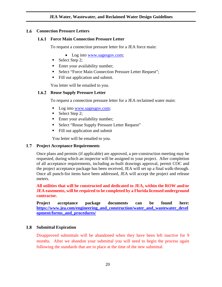#### <span id="page-19-1"></span><span id="page-19-0"></span> $1.6$ **Connection Pressure Letters**

#### $1.6.1$ **Force Main Connection Pressure Letter**

To request a connection pressure letter for a JEA force main:

- Log into [www.sagesgov.com;](http://www.sagesgov.com/)
- Select Step 2;
- Enter your availability number;
- Select "Force Main Connection Pressure Letter Request";
- Fill out application and submit.

You letter will be emailed to you.

#### <span id="page-19-2"></span>**1.6.2 Reuse Supply Pressure Letter**

To request a connection pressure letter for a JEA reclaimed water main:

- Log into [www.sagesgov.com;](http://www.sagesgov.com/)
- Select Step 2;
- **Enter your availability number;**
- Select "Reuse Supply Pressure Letter Request"
- Fill out application and submit

You letter will be emailed to you.

#### <span id="page-19-3"></span>**Project Acceptance Requirements**

Once plans and permits (if applicable) are approved, a pre-construction meeting may be requested, during which an inspector will be assigned to your project. After completion of all acceptance requirements, including as-built drawings approval, permit COC and the project acceptance package has been received, JEA will set up a final walk-through. Once all punch-list items have been addressed, JEA will accept the project and release meters.

**All utilities that will be constructed and dedicated to JEA, within the ROW and/or JEA easements, will be required to be completed by a Florida licensed underground contractor.** 

**Project acceptance package documents can be found here: [https://www.jea.com/engineering\\_and\\_construction/water\\_and\\_wastewater\\_devel](https://www.jea.com/engineering_and_construction/water_and_wastewater_development/forms_and_procedures/) [opment/forms\\_and\\_procedures/](https://www.jea.com/engineering_and_construction/water_and_wastewater_development/forms_and_procedures/)**

#### <span id="page-19-4"></span> $1.8$ **Submittal Expiration**

Disapproved submittals will be abandoned when they have been left inactive for 9 months. After we abandon your submittal you will need to begin the process again following the standards that are in place at the time of the new submittal.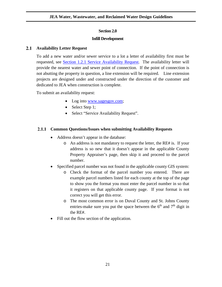#### **Section 2.0**

#### **Infill Development**

#### <span id="page-20-0"></span> $2.1$ **Availability Letter Request**

<span id="page-20-1"></span>To add a new water and/or sewer service to a lot a letter of availability first must be requested, see [Section 1.2.1 Service Availability Request.](#page-10-1) The availability letter will provide the nearest water and sewer point of connection. If the point of connection is not abutting the property in question, a line extension will be required. Line extension projects are designed under and constructed under the direction of the customer and dedicated to JEA when construction is complete.

To submit an availability request:

- Log into [www.sagesgov.com;](http://www.sagesgov.com/)
- Select Step 1;
- Select "Service Availability Request".

#### <span id="page-20-2"></span>**Common Questions/Issues when submitting Availability Requests**

- Address doesn't appear in the database:
	- o An address is not mandatory to request the letter, the RE# is. If your address is so new that it doesn't appear in the applicable County Property Appraiser's page, then skip it and proceed to the parcel number.
- Specified parcel number was not found in the applicable county GIS system:
	- o Check the format of the parcel number you entered. There are example parcel numbers listed for each county at the top of the page to show you the format you must enter the parcel number in so that it registers on that applicable county page. If your format is not correct you will get this error.
	- o The most common error is on Duval County and St. Johns County entries-make sure you put the space between the  $6<sup>th</sup>$  and  $7<sup>th</sup>$  digit in the RE#.
- Fill out the flow section of the application.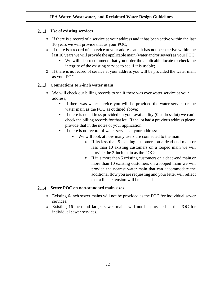### <span id="page-21-0"></span>**Use of existing services**

- o If there is a record of a service at your address and it has been active within the last 10 years we will provide that as your POC;
- o If there is a record of a service at your address and it has not been active within the last 10 years we will provide the applicable main (water and/or sewer) as your POC;
	- We will also recommend that you order the applicable locate to check the integrity of the existing service to see if it is usable;
- o If there is no record of service at your address you will be provided the water main as your POC.

### <span id="page-21-1"></span>**Connections to 2-inch water main**

- o We will check our billing records to see if there was ever water service at your address;
	- If there was water service you will be provided the water service or the water main as the POC as outlined above;
	- If there is no address provided on your availability (0 address lot) we can't check the billing records for that lot. If the lot had a previous address please provide that in the notes of your application;
	- If there is no record of water service at your address:
		- We will look at how many users are connected to the main:
			- o If its less than 5 existing customers on a dead-end main or less than 10 existing customers on a looped main we will provide the 2-inch main as the POC;
			- o If it is more than 5 existing customers on a dead-end main or more than 10 existing customers on a looped main we will provide the nearest water main that can accommodate the additional flow you are requesting and your letter will reflect that a line extension will be needed.

#### <span id="page-21-2"></span>**Sewer POC on non-standard main sizes**

- o Existing 6-inch sewer mains will not be provided as the POC for individual sewer services;
- o Existing 16-inch and larger sewer mains will not be provided as the POC for individual sewer services.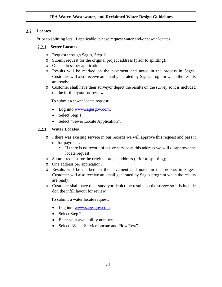#### <span id="page-22-0"></span>**Locates**

Prior to splitting lots, if applicable, please request water and/or sewer locates.

#### <span id="page-22-1"></span>2.2.1 Sewer Locates

- o Request through Sages, Step 1;
- o Submit request for the original project address (prior to splitting);
- o One address per application;
- o Results will be marked on the pavement and noted in the process in Sages; Customer will also receive an email generated by Sages program when the results are ready;
- o Customer shall have their surveyor depict the results on the survey so it is included on the infill layout for review.

To submit a sewer locate request:

- Log into [www.sagesgov.com;](http://www.sagesgov.com/)
- Select Step 1;
- <span id="page-22-2"></span>• Select "Sewer Locate Application".

#### $2.2.2$ **Water Locates**

- o I there was existing service in our records we will approve this request and pass it on for payment;
	- If there is no record of active service at this address we will disapprove the locate request;
- o Submit request for the original project address (prior to splitting);
- o One address per application;
- o Results will be marked on the pavement and noted in the process in Sages; Customer will also receive an email generated by Sages program when the results are ready;
- o Customer shall have their surveyor depict the results on the survey so it is include don the infill layout for review.

To submit a water locate request:

- Log into [www.sagesgov.com;](http://www.sagesgov.com/)
- Select Step 2;
- Enter your availability number;
- Select "Water Service Locate and Flow Test".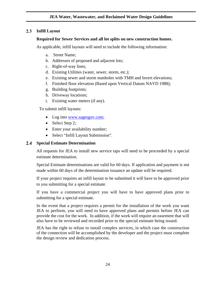#### <span id="page-23-0"></span>**Infill Layout**

#### **Required for Sewer Services and all lot splits on new construction homes.**

As applicable, infill layouts will need to include the following information:

- a. Street Name;
- b. Addresses of proposed and adjacent lots;
- c. Right-of-way lines;
- d. Existing Utilities (water, sewer, storm, etc.);
- e. Existing sewer and storm manholes with TMH and Invert elevations;
- f. Finished floor elevation (Based upon Vertical Datum NAVD 1988);
- g. Building footprints;
- h. Driveway locations;
- i. Existing water meters (if any).

To submit infill layouts:

- Log into [www.sagesgov.com;](http://www.sagesgov.com/)
- Select Step 2;
- Enter your availability number;
- Select "Infill Layout Submission".

#### <span id="page-23-1"></span>**Special Estimate Determination**

All requests for JEA to install new service taps will need to be proceeded by a special estimate determination.

Special Estimate determinations are valid for 60 days. If application and payment is not made within 60 days of the determination issuance an update will be required.

If your project requires an infill layout to be submitted it will have to be approved prior to you submitting for a special estimate.

If you have a commercial project you will have to have approved plans prior to submitting for a special estimate.

In the event that a project requires a permit for the installation of the work you want JEA to perform, you will need to have approved plans and permits before JEA can provide the cost for the work. In addition, if the work will require an easement that will also have to be reviewed and recorded prior to the special estimate being issued.

JEA has the right to refuse to install complex services, in which case the construction of the connection will be accomplished by the developer and the project must complete the design review and dedication process.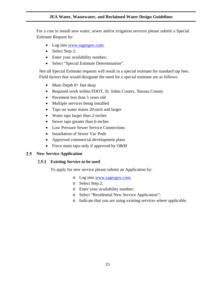For a cost to install new water, sewer and/or irrigation services please submit a Special Estimate Request by:

- Log into [www.sagesgov.com;](http://www.sagesgov.com/)
- Select Step 2;
- Enter your availability number;
- Select "Special Estimate Determination".

Not all Special Estimate requests will result in a special estimate for standard tap fees. Field factors that would designate the need for a special estimate are as follows:

- Main Depth 8+ feet deep
- Required work within FDOT, St. Johns County, Nassau County
- Pavement less than 5 years old
- Multiple services being installed
- Taps on water mains 20-inch and larger
- Water taps larger than 2-inches
- Sewer taps greater than 6-inches
- Low Pressure Sewer Service Connections
- Installation of Sewer Vac Pods
- Approved commercial development plans
- Force main taps-only if approved by O&M

#### <span id="page-24-1"></span><span id="page-24-0"></span>**New Service Application**

#### **Existing Service to be used**

To apply for new service please submit an Application by:

- o Log into [www.sagesgov.com;](http://www.sagesgov.com/)
- o Select Step 2;
- o Enter your availability number;
- o Select "Residential New Service Application";
- o Indicate that you are using existing services where applicable.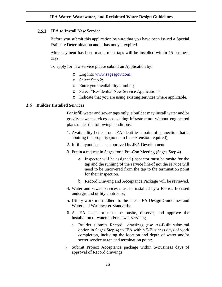#### <span id="page-25-0"></span> $2.5.2$ **JEA to Install New Service**

Before you submit this application be sure that you have been issued a Special Estimate Determination and it has not yet expired.

After payment has been made, most taps will be installed within 15 business days.

To apply for new service please submit an Application by:

- o Log into [www.sagesgov.com;](http://www.sagesgov.com/)
- o Select Step 2;
- o Enter your availability number;
- o Select "Residential New Service Application";
- Indicate that you are using existing services where applicable.

#### <span id="page-25-1"></span>2.6 **Builder Installed Services**

For infill water and sewer taps only, a builder may install water and/or gravity sewer services on existing infrastructure without engineered plans under the following conditions:

- 1. Availability Letter from JEA identifies a point of connection that is abutting the property (no main line extension required);
- 2. Infill layout has been approved by JEA Development;
- 3. Put in a request in Sages for a Pre-Con Meeting (Sages Step 4)
	- a. Inspector will be assigned (inspector must be onsite for the tap and the running of the service line-if not the service will need to be uncovered from the tap to the termination point for their inspection.
	- b. Record Drawing and Acceptance Package will be reviewed.
- 4. Water and sewer services must be installed by a Florida licensed underground utility contractor;
- 5. Utility work must adhere to the latest JEA Design Guidelines and Water and Wastewater Standards;
- 6. A JEA inspector must be onsite, observe, and approve the installation of water and/or sewer services;
	- a. Builder submits Record drawings (use As-Built submittal option in Sages Step 4) to JEA within 5-Business days of work completion, including the location and depth of water and/or sewer service at tap and termination point;
- 7. Submit Project Acceptance package within 5-Business days of approval of Record drawings;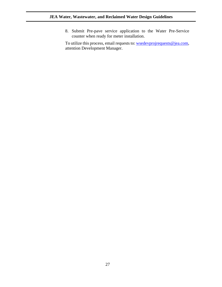8. Submit Pre-pave service application to the Water Pre-Service counter when ready for meter installation.

To utilize this process, email requests to[: wsedevprojrequests@jea.com,](mailto:wsedevprojrequests@jea.com) attention Development Manager.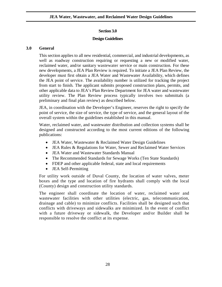#### **Section 3.0**

#### **Design Guidelines**

#### <span id="page-27-0"></span>**3.0 General**

<span id="page-27-1"></span>This section applies to all new residential, commercial, and industrial developments, as well as roadway construction requiring or requesting a new or modified water, reclaimed water, and/or sanitary wastewater service or main construction. For these new developments, a JEA Plan Review is required. To initiate a JEA Plan Review, the developer must first obtain a JEA Water and Wastewater Availability, which defines the JEA point of service. The availability number is utilized for tracking the project from start to finish. The applicant submits proposed construction plans, permits, and other applicable data to JEA's Plan Review Department for JEA water and wastewater utility review. The Plan Review process typically involves two submittals (a preliminary and final plan review) as described below.

JEA, in coordination with the Developer's Engineer, reserves the right to specify the point of service, the size of service, the type of service, and the general layout of the overall system within the guidelines established in this manual.

Water, reclaimed water, and wastewater distribution and collection systems shall be designed and constructed according to the most current editions of the following publications:

- JEA Water, Wastewater & Reclaimed Water Design Guidelines
- JEA Rules & Regulations for Water, Sewer and Reclaimed Water Services
- JEA Water and Wastewater Standards Manual
- The Recommended Standards for Sewage Works (Ten State Standards)
- FDEP and other applicable federal, state and local requirements
- JEA Self-Permitting

For utility work outside of Duval County, the location of water valves, meter boxes and the type and location of fire hydrants shall comply with the local (County) design and construction utility standards.

The engineer shall coordinate the location of water, reclaimed water and wastewater facilities with other utilities (electric, gas, telecommunication, drainage and cable) to minimize conflicts. Facilities shall be designed such that conflicts with driveways and sidewalks are minimized. In the event of conflict with a future driveway or sidewalk, the Developer and/or Builder shall be responsible to resolve the conflict at its expense.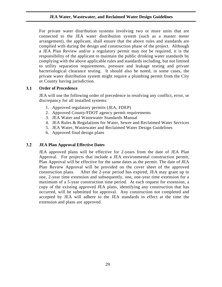For private water distribution systems involving two or more units that are connected to the JEA water distribution system (such as a master meter arrangement), the applicant, shall ensure that the above rules and standards are complied with during the design and construction phase of the project. Although a JEA Plan Review and/or a regulatory permit may not be required, it is the responsibility of the applicant to maintain the public drinking water standards by complying with the above applicable rules and standards including, but not limited to utility separation requirements, pressure and leakage testing and private bacteriological clearance testing. It should also be noted, in some cases, the private water distribution system might require a plumbing permit from the City or County having jurisdiction.

#### $3.1$ **Order of Precedence**

<span id="page-28-0"></span>JEA will use the following order of precedence in resolving any conflict, error, or discrepancy for all installed systems:

- 1. Approved regulatory permits (JEA, FDEP)
- 2. Approved County/FDOT agency permit requirements
- 3. JEA Water and Wastewater Standards Manual
- 4. JEA Rules & Regulations for Water, Sewer and Reclaimed Water Services
- 5. JEA Water, Wastewater and Reclaimed Water Design Guidelines
- 6. Approved final design plans

#### <span id="page-28-1"></span> $3.2$ **JEA Plan Approval Effective Dates**

JEA approved plans will be effective for 2-years from the date of JEA Plan Approval. For projects that include a JEA environmental construction permit, Plan Approval will be effective for the same dates as the permit. The date of JEA Plan Review Approval will be provided on the cover sheet of the approved construction plans. After the 2-year period has expired, JEA may grant up to one, 2-year time extension and subsequently, one, one-year time extension for a maximum of a 5-year construction time period. At each request for extension, a copy of the existing approved JEA plans, identifying any construction that has occurred, will be submitted for approval. Any construction not completed and accepted by JEA will adhere to the JEA standards in effect at the time the extension and plans are approved.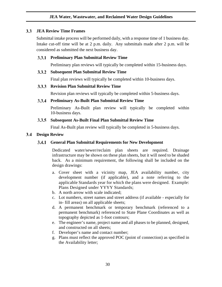### <span id="page-29-0"></span>**JEA Review Time Frames**

Submittal intake process will be performed daily, with a response time of 1 business day. Intake cut-off time will be at 2 p.m. daily. Any submittals made after 2 p.m. will be considered as submitted the next business day.

### <span id="page-29-1"></span>**Preliminary Plan Submittal Review Time**

Preliminary plan reviews will typically be completed within 15-business days.

#### <span id="page-29-2"></span>**Subsequent Plan Submittal Review Time**

Final plan reviews will typically be completed within 10-business days.

#### <span id="page-29-3"></span>**Revision Plan Submittal Review Time**

Revision plan reviews will typically be completed within 5-business days.

#### <span id="page-29-4"></span>**Preliminary As-Built Plan Submittal Review Time**

Preliminary As-Built plan review will typically be completed within 10-business days.

#### <span id="page-29-5"></span>**Subsequent As-Built Final Plan Submittal Review Time**

Final As-Built plan review will typically be completed in 5-business days.

#### <span id="page-29-7"></span><span id="page-29-6"></span>**Design Review**

### **General Plan Submittal Requirements for New Development**

Dedicated water/sewer/reclaim plan sheets are required. Drainage infrastructure may be shown on these plan sheets, but it will need to be shaded back. As a minimum requirement, the following shall be included on the design drawings:

- a. Cover sheet with a vicinity map, JEA availability number, city development number (if applicable), and a note referring to the applicable Standards year for which the plans were designed. Example: Plans Designed under YYYY Standards;
- b. A north arrow with scale indicated;
- c. Lot numbers, street names and street address (if available especially for in- fill areas) on all applicable sheets;
- d. A permanent benchmark or temporary benchmark (referenced to a permanent benchmark) referenced to State Plane Coordinates as well as topography depicted as 1-foot contours;
- e. The engineer's name, project name and all phases to be planned, designed, and constructed on all sheets;
- f. Developer's name and contact number;
- g. Plans must reflect the approved POC (point of connection) as specified in the Availability letter;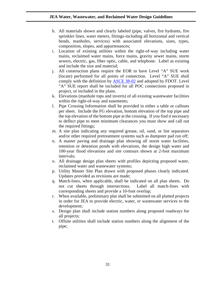- h. All materials shown and clearly labeled (pipe, valves, fire hydrants, fire sprinkler lines, water meters, fittings-including all horizontal and vertical bends, manholes, services) with associated elevations, sizes, types, composition, slopes, and appurtenances;
- i. Location of existing utilities within the right-of-way including water mains, reclaimed water mains, force mains, gravity sewer mains, storm sewers, electric, gas, fiber optic, cable, and telephone. Label as existing and include the size and material;
- j. All construction plans require the EOR to have Level "A" SUE work (locate) performed for all points of connection. Level "A" SUE shall comply with the definition by [ASCE 38-02](http://www.dot.ga.gov/PartnerSmart/utilities/Documents/ASCE%2038-02.pdf) and adopted by FDOT. Level "A" SUE report shall be included for all POC connections proposed in project, or included in the plans.
- k. Elevations (manhole tops and inverts) of all existing wastewater facilities within the right-of-way and easements;
- l. Pipe Crossing Information shall be provided in either a table or callouts per sheet. Include the FG elevation, bottom elevation of the top pipe and the top elevation of the bottom pipe at the crossing. If you find it necessary to deflect pipe to meet minimum clearances you must show and call out the required fittings;
- m. A site plan indicating any required grease, oil, sand, or lint separators and/or other required pretreatment systems such as dumpster pad run off;
- n. A master paving and drainage plan showing all storm water facilities, retention or detention ponds with elevations, the design high water and 100-year flood elevations and site contours shown at 2-foot maximum intervals;
- o. All drainage design plan sheets with profiles depicting proposed water, reclaimed water and wastewater systems;
- p. Utility Master Site Plan drawn with proposed phases clearly indicated. Updates provided as revisions are made;
- q. Match-lines, when applicable, shall be indicated on all plan sheets. Do not cut sheets through intersections. Label all match-lines with corresponding sheets and provide a 10-foot overlap;
- r. When available, preliminary plat shall be submitted on all platted projects in order for JEA to provide electric, water, or wastewater services to the development;
- s. Design plan shall include station numbers along proposed roadways for all projects;
- t. Offsite utilities shall include station numbers along the alignment of the pipe;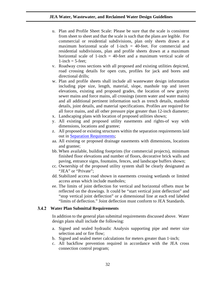- u. Plan and Profile Sheet Scale: Please be sure that the scale is consistent from sheet to sheet and that the scale is such that the plans are legible. For commercial or residential subdivisions, plan only sheets drawn at a maximum horizontal scale of 1-inch = 40-feet. For commercial and residential subdivisions, plan and profile sheets drawn at a maximum horizontal scale of 1-inch  $=$  40-feet and a maximum vertical scale of  $1$ -inch  $=$  5-feet:
- v. Roadway cross sections with all proposed and existing utilities depicted, road crossing details for open cuts, profiles for jack and bores and directional drills;
- w. Plan and profile sheets shall include all wastewater design information including pipe size, length, material, slope, manhole top and invert elevations, existing and proposed grades, the location of new gravity sewer mains and force mains, all crossings (storm water and water mains) and all additional pertinent information such as trench details, manhole details, joint details, and material specifications. Profiles are required for all force mains, and all other pressure pipe greater than 12-inch diameter;
- x. Landscaping plans with location of proposed utilities shown;
- y. All existing and proposed utility easements and rights-of way with dimensions, locations and grantee;
- z. All proposed or existing structures within the separation requirements laid out in [Separation Requirements;](#page-61-0)
- aa. All existing or proposed drainage easements with dimensions, locations and grantee;
- bb. When available, building footprints (for commercial projects), minimum finished floor elevations and number of floors, decorative brick walls and paving, entrance signs, fountains, fences, and landscape buffers shown;
- cc. Ownership of the proposed utility system shall be clearly designated as "JEA" or "Private":
- dd. Stabilized access road shown in easements crossing wetlands or limited access areas which include manholes;
- ee. The limits of joint deflection for vertical and horizontal offsets must be reflected on the drawings. It could be "start vertical joint deflection" and "stop vertical joint deflection" or a dimensional line at each end labeled "limits of deflection." Joint deflection must conform to JEA Standards.

#### <span id="page-31-0"></span>**Water Plan Submittal Requirements**

In addition to the general plan submittal requirements discussed above. Water design plans shall include the following:

- a. Signed and sealed hydraulic Analysis supporting pipe and meter size selection and or fire flow;
- b. Signed and sealed meter calculations for meters greater than 1-inch;
- c. All backflow prevention required in accordance with the JEA cross connection control program;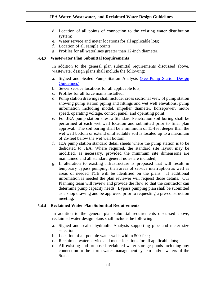- d. Location of all points of connection to the existing water distribution system;
- e. Water service and meter locations for all applicable lots;
- f. Location of all sample points;
- g. Profiles for all waterlines greater than 12-inch diameter.

#### <span id="page-32-0"></span>**Wastewater Plan Submittal Requirements**

In addition to the general plan submittal requirements discussed above, wastewater design plans shall include the following:

- a. Signed and Sealed Pump Station Analysis [\(See Pump Station Design](#page-87-4)  [Guidelines\);](#page-87-4)
- b. Sewer service locations for all applicable lots;
- c. Profiles for all force mains installed;
- d. Pump station drawings shall include: cross sectional view of pump station showing pump station piping and fittings and wet well elevations, pump information including model, impeller diameter, horsepower, motor speed, operating voltage, control panel, and operating point;
- e. For JEA pump station sites, a Standard Penetration soil boring shall be performed at each wet well location and submitted prior to final plan approval. The soil boring shall be a minimum of 15-feet deeper than the wet well bottom or extend until suitable soil is located up to a maximum of 25-feet below the wet well bottom;
- f. JEA pump station standard detail sheets where the pump station is to be dedicated to JEA. Where required, the standard site layout may be modified, as necessary, provided the minimum site dimensions are maintained and all standard general notes are included;
- g. If alteration to existing infrastructure is proposed that will result in temporary bypass pumping, then areas of service interruption as well as areas of needed TCE will be identified on the plans. If additional information is needed the plan reviewer will request those details. Our Planning team will review and provide the flow so that the contractor can determine pump capacity needs. Bypass pumping plan shall be submitted as a shop drawing and be approved prior to requesting a pre-construction meeting.

#### <span id="page-32-1"></span>**Reclaimed Water Plan Submittal Requirements**

In addition to the general plan submittal requirements discussed above, reclaimed water design plans shall include the following:

- a. Signed and sealed hydraulic Analysis supporting pipe and meter size selection;
- b. Location of all potable water wells within 500-feet;
- c. Reclaimed water service and meter locations for all applicable lots;
- d. All existing and proposed reclaimed water storage ponds including any connection to the storm water management system and/or waters of the State;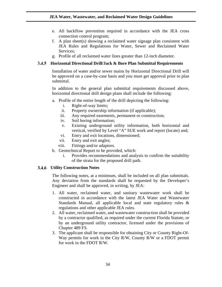- e. All backflow prevention required in accordance with the JEA cross connection control program;
- f. A plan sheet(s) showing a reclaimed water signage plan consistent with JEA Rules and Regulations for Water, Sewer and Reclaimed Water Services;
- g. Profile of all reclaimed water lines greater than 12-inch diameter.

#### <span id="page-33-0"></span>**Horizontal Directional Drill/Jack & Bore Plan Submittal Requirements**

Installation of water and/or sewer mains by Horizontal Directional Drill will be approved on a case-by-case basis and you must get approval prior to plan submittal.

In addition to the general plan submittal requirements discussed above, horizontal directional drill design plans shall include the following:

- a. Profile of the entire length of the drill depicting the following:
	- i. Right-of-way limits;
	- ii. Property ownership information (if applicable);
	- iii. Any required easements, permanent or construction;
	- iv. Soil boring information;
	- v. Existing underground utility information, both horizontal and vertical, verified by Level "A" SUE work and report (locate) and;
	- vi. Entry and exit locations, dimensioned;
	- vii. Entry and exit angles;
	- viii. Fittings and/or adaptors.
- b. Geotechnical Report to be provided, which:
	- i. Provides recommendations and analysis to confirm the suitability of the strata for the proposed drill path.

#### <span id="page-33-1"></span>**Utility Construction Notes**

The following notes, at a minimum, shall be included on all plan submittals. Any deviation from the standards shall be requested by the Developer's Engineer and shall be approved, in writing, by JEA:

- 1. All water, reclaimed water, and sanitary wastewater work shall be constructed in accordance with the latest JEA Water and Wastewater Standards Manual, all applicable local and state regulatory rules & regulations and other applicable JEA rules.
- 2. All water, reclaimed water, and wastewater construction shall be provided by a contractor qualified, as required under the current Florida Statute, or by an underground utility contractor, licensed under the provisions of Chapter 489 FS.
- 3. The applicant shall be responsible for obtaining City or County Right-Of-Way permits for work in the City R/W, County R/W or a FDOT permit for work in the FDOT R/W.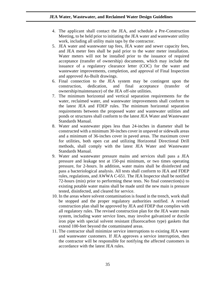- 4. The applicant shall contact the JEA, and schedule a Pre-Construction Meeting, to be held prior to initiating the JEA water and wastewater utility work, including all utility main taps by the contractor.
- 5. JEA water and wastewater tap fees, JEA water and sewer capacity fees, and JEA meter fees shall be paid prior to the water meter installation. Water meters will not be installed prior to the issuance of required acceptance (transfer of ownership) documents, which may include the issuance of a regulatory clearance letter (COC) for the water and wastewater improvements, completion, and approval of Final Inspection and approved As-Built drawings.
- 6. Final connection to the JEA system may be contingent upon the construction, dedication, and final acceptance (transfer of ownership/maintenance) of the JEA off-site utilities.
- 7. The minimum horizontal and vertical separation requirements for the water, reclaimed water, and wastewater improvements shall conform to the latest JEA and FDEP rules. The minimum horizontal separation requirements between the proposed water and wastewater utilities and ponds or structures shall conform to the latest JEA Water and Wastewater Standards Manual.
- 8. Water and wastewater pipes less than 24-inches in diameter shall be constructed with a minimum 30-inches cover in unpaved or sidewalk areas and a minimum of 36-inches cover in paved areas. The maximum cover for utilities, both open cut and utilizing Horizontal Directional Drill methods, shall comply with the latest JEA Water and Wastewater Standards Manual.
- 9. Water and wastewater pressure mains and services shall pass a JEA pressure and leakage test at 150-psi minimum, or two times operating pressure, for 2-hours. In addition, water mains shall be disinfected and pass a bacteriological analysis. All tests shall conform to JEA and FDEP rules, regulations, and AWWA C-651. The JEA Inspector shall be notified 72-hours (min) prior to performing these tests. No final connection(s) to existing potable water mains shall be made until the new main is pressure tested, disinfected, and cleared for service.
- 10. In the areas where solvent contamination is found in the trench, work shall be stopped and the proper regulatory authorities notified. A revised construction plan shall be approved by JEA and FDEP that complies with all regulatory rules. The revised construction plan for the JEA water main system, including water service lines, may involve galvanized or ductile iron pipe with special solvent resistant (fluorocarbon type) gaskets that extend 100-feet beyond the contaminated areas.
- 11. The contractor shall minimize service interruptions to existing JEA water and wastewater customers. If JEA approves a service interruption, then the contractor will be responsible for notifying the affected customers in accordance with the latest JEA rules.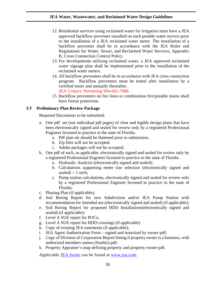- 12. Residential services using reclaimed water for irrigation must have a JEA approved backflow preventer installed on each potable water service prior to the installation of a JEA reclaimed water meter. The installation of a backflow preventer shall be in accordance with the JEA Rules and Regulations for Water, Sewer, and Reclaimed Water Services, Appendix B, Cross Connection Control Policy.
- 13. For developments utilizing reclaimed water, a JEA approved reclaimed water signage plan shall be implemented prior to the installation of the reclaimed water meters.
- 14. All backflow preventers shall be in accordance with JEA cross connection program. Backflow preventers must be tested after installation by a certified tester and annually thereafter. JEA Contact: Permitting 904-665-7988.
- 15. Backflow preventers on fire lines or combination fire/potable mains shall have freeze protection.

#### <span id="page-35-0"></span>**Preliminary Plan Review Package**

Required Documents to be submitted:

- a. One pdf set (not individual pdf pages) of clear and legible design plans that have been electronically signed and sealed for review only by a registered Professional Engineer licensed to practice in the state of Florida;
	- a. Pdf plan set should be flattened prior to submission.
	- b. Zip files will not be accepted.
	- c. Adobe packages will not be accepted.
- b. One pdf of each, as applicable, electronically signed and sealed for review only by a registered Professional Engineer licensed to practice in the state of Florida:
	- a. Hydraulic Analysis (electronically signed and sealed);
	- b. Calculations supporting meter size selection (electronically signed and sealed)  $> 1$ -inch;
	- c. Pump station calculations, electronically signed and sealed for review only by a registered Professional Engineer licensed to practice in the state of Florida;
- c. Phasing Plan (if applicable);
- d. Soil Boring Report for new Subdivision and/or JEA Pump Station with recommendation for intended use (electronically signed and sealed) (if applicable);
- e. Soil Boring Report for proposed HDD Installations(electronically signed and sealed) (if applicable);
- f. Level A SUE report for POCs;
- g. Level A SUE report for HDD crossings (if applicable)
- h. Copy of existing JEA easements (if applicable);
- i. JEA Agent Authorization Form signed and notarized by owner-pdf;
- j. Copy of Division of Corporation Report listing if property owner is a business, with authorized members names (Sunbiz)-pdf;
- k. Property Appraiser's map defining property and property owner-pdf.

Applicable [JEA forms](https://www.jea.com/Engineering_and_Construction/Water_and_Wastewater_Development/Forms_and_Procedures) can be found at [www.jea.com.](http://www.jea.com/)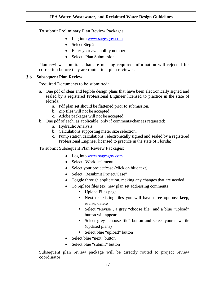To submit Preliminary Plan Review Packages:

- Log into [www.sagesgov.com](http://www.sagesgov.com/)
- Select Step 2
- Enter your availability number
- Select "Plan Submission"

Plan review submittals that are missing required information will rejected for correction before they are routed to a plan reviewer.

# **Subsequent Plan Review**

Required Documents to be submitted:

- a. One pdf of clear and legible design plans that have been electronically signed and sealed by a registered Professional Engineer licensed to practice in the state of Florida;
	- a. Pdf plan set should be flattened prior to submission.
	- b. Zip files will not be accepted.
	- c. Adobe packages will not be accepted.
- b. One pdf of each, as applicable, only if comments/changes requested:
	- a. Hydraulic Analysis;
	- b. Calculations supporting meter size selection;
	- c. Pump station calculations , electronically signed and sealed by a registered Professional Engineer licensed to practice in the state of Florida;

To submit Subsequent Plan Review Packages:

- Log into [www.sagesgov.com](http://www.sagesgov.com/)
- Select "Worklist" menu
- Select your project/case (click on blue text)
- Select "Resubmit Project/Case"
- Toggle through application, making any changes that are needed
- To replace files (ex. new plan set addressing comments)
	- Upload Files page
	- Next to existing files you will have three options: keep, revise, delete
	- Select "Revise", a grey "choose file" and a blue "upload" button will appear
	- Select grey "choose file" button and select your new file (updated plans)
	- Select blue "upload" button
- Select blue "next" button
- Select blue "submit" button

Subsequent plan review package will be directly routed to project review coordinator.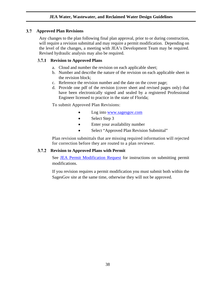#### $3.7$ **Approved Plan Revisions**

Any changes to the plan following final plan approval, prior to or during construction, will require a revision submittal and may require a permit modification. Depending on the level of the changes, a meeting with JEA's Development Team may be required. Revised hydraulic analysis may also be required.

# **Revision to Approved Plans**

- a. Cloud and number the revision on each applicable sheet;
- b. Number and describe the nature of the revision on each applicable sheet in the revision block;
- c. Reference the revision number and the date on the cover page;
- d. Provide one pdf of the revision (cover sheet and revised pages only) that have been electronically signed and sealed by a registered Professional Engineer licensed to practice in the state of Florida;

To submit Approved Plan Revisions:

- Log into [www.sagesgov.com](http://www.sagesgov.com/)
- Select Step 3
- Enter your availability number
- Select "Approved Plan Revision Submittal"

Plan revision submittals that are missing required information will rejected for correction before they are routed to a plan reviewer.

#### $3.7.2$ **Revision to Approved Plans with Permit**

See [JEA Permit Modification Request](#page-39-0) for instructions on submitting permit modifications.

If you revision requires a permit modification you must submit both within the SagesGov site at the same time, otherwise they will not be approved.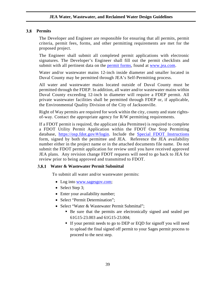### **Permits**

The Developer and Engineer are responsible for ensuring that all permits, permit criteria, permit fees, forms, and other permitting requirements are met for the proposed project.

The Engineer shall submit all completed permit applications with electronic signatures. The Developer's Engineer shall fill out the permit checklists and submit with all pertinent data on the [permit forms,](https://www.jea.com/Engineering_and_Construction/Water_and_Wastewater_Development/Stages_of_a_Project/Design/) found at [www.jea.com.](http://www.jea.com/)

Water and/or wastewater mains 12-inch inside diameter and smaller located in Duval County may be permitted through JEA's Self-Permitting process.

All water and wastewater mains located outside of Duval County must be permitted through the FDEP. In addition, all water and/or wastewater mains within Duval County exceeding 12-inch in diameter will require a FDEP permit. All private wastewater facilities shall be permitted through FDEP or, if applicable, the Environmental Quality Division of the City of Jacksonville.

Right of Way permits are required for work within the city, county and state rightsof-way. Contact the appropriate agency for R/W permitting requirements.

If a FDOT permit is required, the applicant (aka Permittee) is required to complete a FDOT Utility Permit Application within the FDOT One Stop Permitting database, [https://osp.fdot.gov/#/login.](https://osp.fdot.gov/#/login) Include the [Special FDOT Instructions](https://gis.corp.jea.com/#https://www.jea.com/engineering_and_construction/water_and_wastewater_development/forms_and_procedures/) form, signed by both the permittee and JEA. Reference the JEA availability number either in the project name or in the attached documents file name. Do not submit the FDOT permit application for review until you have received approved JEA plans. Any revision change FDOT requests will need to go back to JEA for review prior to being approved and transmitted to FDOT.

### **Water & Wastewater Permit Submittal**

To submit all water and/or wastewater permits:

- Log into [www.sagesgov.com;](http://www.sagesgov.com/)
- Select Step 3;
- Enter your availability number;
- Select "Permit Determination":
- Select "Water & Wastewater Permit Submittal";
	- Be sure that the permits are electronically signed and sealed per 61G15-23.003 and 61G15-23.004;
	- If your permit needs to go to DEP or EQD for signoff you will need to upload the final signed off permit to your Sages permit process to proceed to the next step.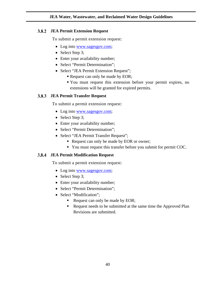# **JEA Permit Extension Request**

To submit a permit extension request:

- Log into [www.sagesgov.com;](http://www.sagesgov.com/)
- Select Step 3;
- Enter your availability number;
- Select "Permit Determination";
- Select "JEA Permit Extension Request";
	- Request can only be made by EOR;
	- You must request this extension before your permit expires, no extensions will be granted for expired permits.

# **JEA Permit Transfer Request**

To submit a permit extension request:

- Log into [www.sagesgov.com;](http://www.sagesgov.com/)
- Select Step 3;
- Enter your availability number;
- Select "Permit Determination";
- Select "JEA Permit Transfer Request";
	- Request can only be made by EOR or owner;
	- You must request this transfer before you submit for permit COC.

## <span id="page-39-0"></span>**JEA Permit Modification Request**

To submit a permit extension request:

- Log into [www.sagesgov.com;](http://www.sagesgov.com/)
- Select Step 3;
- Enter your availability number;
- Select "Permit Determination";
- Select "Modification";
	- Request can only be made by EOR;
	- Request needs to be submitted at the same time the Approved Plan Revisions are submitted.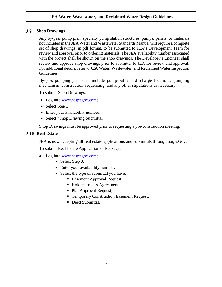#### 3.9 **Shop Drawings**

Any by-pass pump plan, specialty pump station structures, pumps, panels, or materials not included in the JEA Water and Wastewater Standards Manual will require a complete set of shop drawings, in pdf format, to be submitted to JEA's Development Team for review and approval prior to ordering materials. The JEA availability number associated with the project shall be shown on the shop drawings. The Developer's Engineer shall review and approve shop drawings prior to submittal to JEA for review and approval. For additional details, refer to JEA Water, Wastewater, and Reclaimed Water Inspection Guidelines.

By-pass pumping plan shall include pump-out and discharge locations, pumping mechanism, construction sequencing, and any other stipulations as necessary.

To submit Shop Drawings:

- Log into [www.sagesgov.com;](http://www.sagesgov.com/)
- Select Step 3;
- Enter your availability number;
- Select "Shop Drawing Submittal".

Shop Drawings must be approved prior to requesting a pre-construction meeting.

# **3.10 Real Estate**

JEA is now accepting all real estate applications and submittals through SagesGov.

To submit Real Estate Application or Package:

- Log into [www.sagesgov.com;](http://www.sagesgov.com/)
	- Select Step 3;
	- Enter your availability number;
	- Select the type of submittal you have:
		- Easement Approval Request;
		- Hold Harmless Agreement;
		- Plat Approval Request;
		- Temporary Construction Easement Request;
		- Deed Submittal.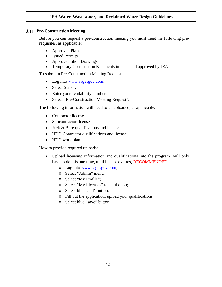## **3.11 Pre-Construction Meeting**

Before you can request a pre-construction meeting you must meet the following prerequisites, as applicable:

- Approved Plans
- Issued Permits
- Approved Shop Drawings
- Temporary Construction Easements in place and approved by JEA

To submit a Pre-Construction Meeting Request:

- Log into [www.sagesgov.com;](http://www.sagesgov.com/)
- Select Step 4;
- Enter your availability number;
- Select "Pre-Construction Meeting Request".

The following information will need to be uploaded, as applicable:

- Contractor license
- Subcontractor license
- Jack & Bore qualifications and license
- HDD Contractor qualifications and license
- HDD work plan

How to provide required uploads:

- Upload licensing information and qualifications into the program (will only have to do this one time, until license expires) RECOMMENDED
	- o Log into [www.sagesgov.com;](http://www.sagesgov.com/)
	- o Select "Admin" menu;
	- o Select "My Profile";
	- o Select "My Licenses" tab at the top;
	- o Select blue "add" button;
	- o Fill out the application, upload your qualifications;
	- o Select blue "save" button.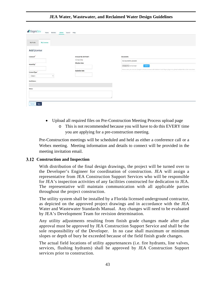| <b>d</b> SagesGov<br>Homo Workfist | Admin Search Help        |                                                                                                                              |
|------------------------------------|--------------------------|------------------------------------------------------------------------------------------------------------------------------|
| My Profile<br>My Licenses          |                          |                                                                                                                              |
| <b>Add License</b>                 |                          |                                                                                                                              |
| License #                          | Is Issued By 3rd Party?: | Documents:                                                                                                                   |
|                                    | O'Yes O'No               | No documents uploaded.                                                                                                       |
| Issued By:                         | <b>Effective Date</b>    | Upload<br>Choose File   No file chosen                                                                                       |
|                                    | <b>Expiration Date</b>   | Please note, you can use Google's Chrome boxweet with Adobe's Pleah Player plug-in to upload multiple files at the same fime |
| License Type:                      |                          |                                                                                                                              |
| $-$ Select $-$<br>$\mathbf{v}$     |                          |                                                                                                                              |
| <b>Staff Notes:</b>                |                          |                                                                                                                              |
|                                    |                          |                                                                                                                              |
| Notes:                             |                          |                                                                                                                              |
|                                    |                          |                                                                                                                              |
|                                    |                          |                                                                                                                              |
| Cancel<br>Savo                     |                          |                                                                                                                              |

**JEA Water, Wastewater, and Reclaimed Water Design Guidelines**

- Upload all required files on Pre-Construction Meeting Process upload page
	- o This is not recommended because you will have to do this EVERY time you are applying for a pre-construction meeting.

Pre-Construction meetings will be scheduled and held as either a conference call or a Webex meeting. Meeting information and details to connect will be provided in the meeting invitation email.

# **Construction and Inspection**

With distribution of the final design drawings, the project will be turned over to the Developer's Engineer for coordination of construction. JEA will assign a representative from JEA Construction Support Services who will be responsible for JEA's inspection activities of any facilities constructed for dedication to JEA. The representative will maintain communication with all applicable parties throughout the project construction.

The utility system shall be installed by a Florida licensed underground contractor, as depicted on the approved project drawings and in accordance with the JEA Water and Wastewater Standards Manual. Any changes will need to be evaluated by JEA's Development Team for revision determination.

Any utility adjustments resulting from finish grade changes made after plan approval must be approved by JEA Construction Support Service and shall be the sole responsibility of the Developer. In no case shall maximum or minimum slopes or depth of bury be exceeded because of the field finish grade changes.

The actual field locations of utility appurtenances (i.e. fire hydrants, line valves, services, flushing hydrants) shall be approved by JEA Construction Support services prior to construction.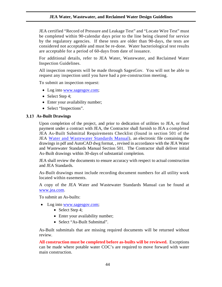JEA certified "Record of Pressure and Leakage Test" and "Locate Wire Test" must be completed within 90-calendar days prior to the line being cleared for service by the regulatory agencies. If these tests are older than 90-days, the tests are considered not acceptable and must be re-done. Water bacteriological test results are acceptable for a period of 60-days from date of issuance.

For additional details, refer to JEA Water, Wastewater, and Reclaimed Water Inspection Guidelines.

All inspection requests will be made through SagesGov. You will not be able to request any inspection until you have had a pre-construction meeting.

To submit an inspection request:

- Log into [www.sagesgov.com;](http://www.sagesgov.com/)
- Select Step 4;
- Enter your availability number;
- Select "Inspections".

## **As-Built Drawings**

Upon completion of the project, and prior to dedication of utilities to JEA, or final payment under a contract with JEA, the Contractor shall furnish to JEA a completed JEA As-Built Submittal Requirements Checklist (found in section 501 of the JEA [Water and Wastewater Standards Manual\)](https://www.jea.com/engineering_and_construction/water_and_wastewater_development/reference_materials/), an electronic file containing the drawings in pdf and AutoCAD dwg format, , revised in accordance with the JEA Water and Wastewater Standards Manual Section 501. The Contractor shall deliver initial As-Built drawings within 30-days of substantial completion.

JEA shall review the documents to ensure accuracy with respect to actual construction and JEA Standards.

As-Built drawings must include recording document numbers for all utility work located within easements.

A copy of the JEA Water and Wastewater Standards Manual can be found at [www.jea.com.](https://www.jea.com/engineering_and_construction/water_and_wastewater_development/reference_materials/)

To submit an As-builts:

- Log into [www.sagesgov.com;](http://www.sagesgov.com/)
	- Select Step 4;
	- Enter your availability number;
	- Select "As-Built Submittal".

As-Built submittals that are missing required documents will be returned without review.

**All construction must be completed before as-builts will be reviewed.** Exceptions can be made where potable water COC's are required to move forward with water main construction.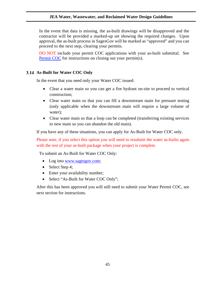In the event that data is missing, the as-built drawings will be disapproved and the contractor will be provided a marked-up set showing the required changes. Upon approval, the as-built process in SagesGov will be marked as "approved" and you can proceed to the next step, clearing your permits.

DO NOT include your permit COC applications with your as-built submittal. See [Permit COC](#page-44-0) for instructions on closing out your permit(s).

# <span id="page-44-0"></span>**As-Built for Water COC Only**

In the event that you need only your Water COC issued:

- Clear a water main so you can get a fire hydrant on-site to proceed to vertical construction;
- Clear water main so that you can fill a downstream main for pressure testing (only applicable when the downstream main will require a large volume of water);
- Clear water main so that a loop can be completed (transferring existing services to new main so you can abandon the old main).

If you have any of these situations, you can apply for As-Built for Water COC only.

Please note, if you select this option you will need to resubmit the water as-builts again with the rest of your as-built package when your project is complete.

To submit an As-Built for Water COC Only:

- Log into [www.sagesgov.com;](http://www.sagesgov.com/)
- Select Step 4;
- Enter your availability number;
- Select "As-Built for Water COC Only";

After this has been approved you will still need to submit your Water Permit COC, see next section for instructions.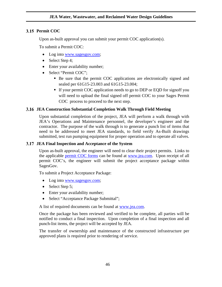# **Permit COC**

Upon as-built approval you can submit your permit COC application(s).

To submit a Permit COC:

- Log into [www.sagesgov.com;](http://www.sagesgov.com/)
- Select Step 4;
- Enter your availability number;
- Select "Permit COC";
	- Be sure that the permit COC applications are electronically signed and sealed per 61G15-23.003 and 61G15-23.004;
	- If your permit COC application needs to go to DEP or EQD for signoff you will need to upload the final signed off permit COC to your Sages Permit COC process to proceed to the next step.

# **JEA Construction Substantial Completion Walk Through Field Meeting**

Upon substantial completion of the project, JEA will perform a walk through with JEA's Operations and Maintenance personnel, the developer's engineer and the contractor. The purpose of the walk through is to generate a punch list of items that need to be addressed to meet JEA standards, to field verify As-Built drawings submitted, test run pumping equipment for proper operation and to operate all valves.

## **JEA Final Inspection and Acceptance of the System**

Upon as-built approval, the engineer will need to clear their project permits. Links to the applicable [permit COC forms](https://www.jea.com/Engineering_and_Construction/Water_and_Wastewater_Development/Forms_and_Procedures/) can be found at [www.jea.com.](https://jea.com/engineering_and_construction/water_and_wastewater_development/forms_and_procedures/) Upon receipt of all permit COC's, the engineer will submit the project acceptance package within SagesGov.

To submit a Project Acceptance Package:

- Log into [www.sagesgov.com;](http://www.sagesgov.com/)
- Select Step 5;
- Enter your availability number;
- Select "Acceptance Package Submittal";

A list of required documents can be found at [www.jea.com.](https://jea.com/engineering_and_construction/water_and_wastewater_development/forms_and_procedures/)

Once the package has been reviewed and verified to be complete, all parties will be notified to conduct a final inspection. Upon completion of a final inspection and all punch-list items, the project will be accepted by JEA.

The transfer of ownership and maintenance of the constructed infrastructure per approved plans is required prior to rendering of service.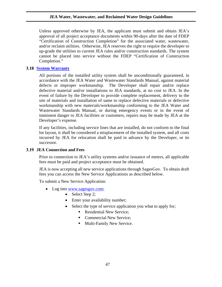Unless approved otherwise by JEA, the applicant must submit and obtain JEA's approval of all project acceptance documents within 90-days after the date of FDEP "Certification of Construction Completion" for the associated water, wastewater, and/or reclaim utilities. Otherwise, JEA reserves the right to require the developer to up-grade the utilities to current JEA rules and/or construction standards. The system cannot be placed into service without the FDEP "Certification of Construction Completion."

# **[System Warranty](https://jea.com/Pdf/Download/12884915795)**

All portions of the installed utility system shall be unconditionally guaranteed, in accordance with the JEA Water and Wastewater Standards Manual, against material defects or improper workmanship. The Developer shall repair and/or replace defective material and/or installations to JEA standards, at no cost to JEA. In the event of failure by the Developer to provide complete replacement, delivery to the site of materials and installation of same to replace defective materials or defective workmanship with new materials/workmanship conforming to the JEA Water and Wastewater Standards Manual, or during emergency events or in the event of imminent danger to JEA facilities or customers, repairs may be made by JEA at the Developer's expense.

If any facilities, including service lines that are installed, do not conform to the final lot layout, it shall be considered a misplacement of the installed system, and all costs incurred by JEA for relocation shall be paid in advance by the Developer, or its successor.

## **JEA Connection and Fees**

Prior to connection to JEA's utility systems and/or issuance of meters, all applicable fees must be paid and project acceptance must be obtained.

JEA is now accepting all new service applications through SagesGov. To obtain draft fees you can access the New Service Applications as described below.

To submit a New Service Application:

- Log into [www.sagesgov.com;](http://www.sagesgov.com/)
	- Select Step 2;
	- Enter your availability number;
	- Select the type of service application you what to apply for;
		- Residential New Service:
		- Commercial New Service:
		- **Multi-Family New Service.**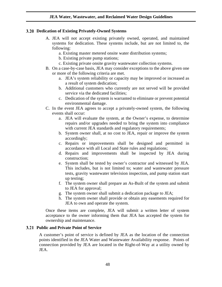### **Dedication of Existing Privately-Owned Systems**

- A. JEA will not accept existing privately owned, operated, and maintained systems for dedication. These systems include, but are not limited to, the following:
	- a. Existing master metered onsite water distribution systems;
	- b. Existing private pump stations;
	- c. Existing private onsite gravity wastewater collection systems.
- B. On a case-by-case basis, JEA may consider exceptions to the above given one or more of the following criteria are met.
	- a. JEA's system reliability or capacity may be improved or increased as a result of system dedication;
	- b. Additional customers who currently are not served will be provided service via the dedicated facilities;
	- c. Dedication of the system is warranted to eliminate or prevent potential environmental damage.
- C. In the event JEA agrees to accept a privately-owned system, the following events shall occur:
	- a. JEA will evaluate the system, at the Owner's expense, to determine repairs and/or upgrades needed to bring the system into compliance with current JEA standards and regulatory requirements;
	- b. System owner shall, at no cost to JEA, repair or improve the system accordingly;
	- c. Repairs or improvements shall be designed and permitted in accordance with all Local and State rules and regulations;
	- d. Repairs and improvements shall be inspected by JEA during construction;
	- e. System shall be tested by owner's contractor and witnessed by JEA. This includes, but is not limited to; water and wastewater pressure tests, gravity wastewater television inspection, and pump station start up testing;
	- f. The system owner shall prepare an As-Built of the system and submit to JEA for approval;
	- g. The system owner shall submit a dedication package to JEA;
	- h. The system owner shall provide or obtain any easements required for JEA to own and operate the system.

Once these items are complete, JEA will submit a written letter of system acceptance to the owner informing them that JEA has accepted the system for ownership and maintenance.

### **Public and Private Point of Service**

A customer's point of service is defined by JEA as the location of the connection points identified in the JEA Water and Wastewater Availability response. Points of connection provided by JEA are located in the Right-of-Way at a utility owned by JEA.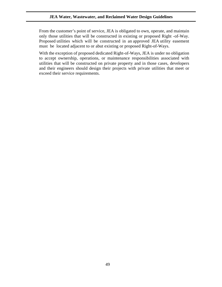From the customer's point of service, JEA is obligated to own, operate, and maintain only those utilities that will be constructed in existing or proposed Right -of-Way. Proposed utilities which will be constructed in an approved JEA utility easement must be located adjacent to or abut existing or proposed Right-of-Ways.

With the exception of proposed dedicated Right-of-Ways, JEA is under no obligation to accept ownership, operations, or maintenance responsibilities associated with utilities that will be constructed on private property and in those cases, developers and their engineers should design their projects with private utilities that meet or exceed their service requirements.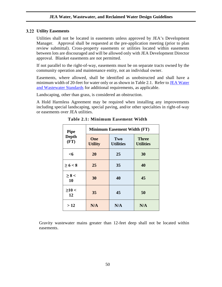### **Utility Easements**

Utilities shall not be located in easements unless approved by JEA's Development Manager. Approval shall be requested at the pre-application meeting (prior to plan review submittal). Cross-property easements or utilities located within easements between lots are discouraged and will be allowed only with JEA Development Director approval. Blanket easements are not permitted.

If not parallel to the right-of-way, easements must be on separate tracts owned by the community operation and maintenance entity, not an individual owner.

Easements, where allowed, shall be identified as unobstructed and shall have a minimum width of 20-feet for water only or as shown in Table 2.1. Refer t[o JEA Water](https://jea.com/Engineering_and_Construction/Water_and_Wastewater_Standards/)  [and Wastewater Standards](https://jea.com/Engineering_and_Construction/Water_and_Wastewater_Standards/) for additional requirements, as applicable.

Landscaping, other than grass, is considered an obstruction.

A Hold Harmless Agreement may be required when installing any improvements including special landscaping, special paving, and/or other specialties in right-of-way or easements over JEA utilities.

| <b>Pipe</b><br><b>Depth</b><br>(FT) | <b>Minimum Easement Width (FT)</b> |                         |                                  |  |
|-------------------------------------|------------------------------------|-------------------------|----------------------------------|--|
|                                     | One<br><b>Utility</b>              | Two<br><b>Utilities</b> | <b>Three</b><br><b>Utilities</b> |  |
| $<$ 6                               | 20                                 | 25                      | 30                               |  |
| $\ge 6 < 8$                         | 25                                 | 35                      | 40                               |  |
| $\geq 8 <$<br>10                    | 30                                 | 40                      | 45                               |  |
| $\geq$ 10 <<br>12                   | 35                                 | 45                      | 50                               |  |
| >12                                 | N/A                                | N/A                     | N/A                              |  |

**Table 2.1: Minimum Easement Width**

Gravity wastewater mains greater than 12-feet deep shall not be located within easements.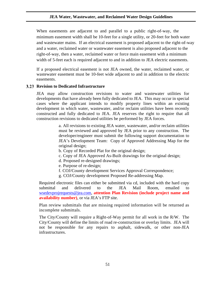When easements are adjacent to and parallel to a public right-of-way, the minimum easement width shall be 10-feet for a single utility, or 20-feet for both water and wastewater mains. If an electrical easement is proposed adjacent to the right-of-way and a water, reclaimed water or wastewater easement is also proposed adjacent to the right-of-way, then a water, reclaimed water or force main easement with a minimum width of 5-feet each is required adjacent to and in addition to JEA electric easements.

If a proposed electrical easement is not JEA owned, the water, reclaimed water, or wastewater easement must be 10-feet wide adjacent to and in addition to the electric easements.

### **Revision to Dedicated Infrastructure**

JEA may allow construction revisions to water and wastewater utilities for developments that have already been fully dedicated to JEA. This may occur in special cases where the applicant intends to modify property lines within an existing development in which water, wastewater, and/or reclaim utilities have been recently constructed and fully dedicated to JEA. JEA reserves the right to require that all construction revisions to dedicated utilities be performed by JEA forces.

> a. All revisions to existing JEA water, wastewater, and/or reclaim utilities must be reviewed and approved by JEA prior to any construction. The developer/engineer must submit the following support documentation to JEA's Development Team: Copy of Approved Addressing Map for the original design;

- b. Copy of Recorded Plat for the original design;
- c. Copy of JEA Approved As-Built drawings for the original design;
- d. Proposed re-designed drawings;
- e. Purpose of re-design;
- f. COJ/County development Services Approval Correspondence;
- g. COJ/County development Proposed Re-addressing Map.

Required electronic files can either be submitted via cd, included with the hard copy submittal and delivered to the JEA Mail Room, emailed to [wsedevprojrequests@jea.com,](mailto:wsedevprojrequests@jea.com?subject=(PROJECT%20AVAILABILITY%20NUMBER%20AND%20NAME)%20Plan%20Revision) **attention Plan Revision (include project name and availability number)**, or via JEA's FTP site.

Plan review submittals that are missing required information will be returned as incomplete submittals.

The City/County will require a Right-of-Way permit for all work in the R/W. The City/County will define the limits of road re-construction or overlay limits. JEA will not be responsible for any repairs to asphalt, sidewalk, or other non-JEA infrastructures.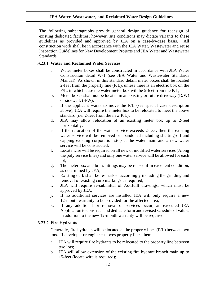The following subparagraphs provide general design guidance for redesign of existing dedicated facilities; however, site conditions may dictate variants to these guidelines as provided and approved by JEA on a case-by-case basis. All construction work shall be in accordance with the JEA Water, Wastewater and reuse Inspection Guidelines for New Development Projects and JEA Water and Wastewater Standards.

# **Water and Reclaimed Water Services**

- a. Water meter boxes shall be constructed in accordance with JEA Water Construction detail W-1 (see JEA Water and Wastewater Standards Manual). As shown in this standard detail, meter boxes shall be located 2-feet from the property line (P/L), unless there is an electric box on the P/L, in which case the water meter box will be 5-feet from the P/L;
- b. Meter boxes shall not be located in an existing or future driveway (D/W) or sidewalk (S/W);
- c. If the applicant wants to move the P/L (see special case description above), JEA will require the meter box to be relocated to meet the above standard (i.e. 2-feet from the new P/L);
- d. JEA may allow relocation of an existing meter box up to 2-feet horizontally;
- e. If the relocation of the water service exceeds 2-feet, then the existing water service will be removed or abandoned including shutting-off and capping existing corporation stop at the water main and a new water service will be constructed;
- f. Locate wire will be required on all new or modified water services (Along the poly service lines) and only one water service will be allowed for each lot;
- g. The meter box and brass fittings may be reused if in excellent condition, as determined by JEA;
- h. Existing curb shall be re-marked accordingly including the grinding and removal of existing curb markings as required;
- i. JEA will require re-submittal of As-Built drawings, which must be approved by JEA;
- j. If no additional services are installed JEA will only require a new 12-month warranty to be provided for the affected area;
- k. If any additional or removal of services occur, an executed JEA Application to construct and dedicate form and revised schedule of values in addition to the new 12-month warranty will be required.

# **3.23.2 Fire Hydrants**

Generally, fire hydrants will be located at the property lines (P/L) between two lots. If developer or engineer moves property lines then:

- a. JEA will require fire hydrants to be relocated to the property line between two lots;
- b. JEA will allow extension of the existing fire hydrant branch main up to 15-feet (locate wire is required);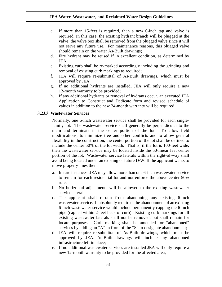- c. If more than 15-feet is required, than a new 6-inch tap and valve is required. In this case, the existing hydrant branch will be plugged at the valve; the valve box shall be removed from the plugged valve since it will not serve any future use. For maintenance reasons, this plugged valve should remain on the water As-Built drawings;
- d. Fire hydrant may be reused if in excellent condition, as determined by JEA;
- e. Existing curb shall be re-marked accordingly including the grinding and removal of existing curb markings as required;
- f. JEA will require re-submittal of As-Built drawings, which must be approved by JEA;
- g. If no additional hydrants are installed, JEA will only require a new 12-month warranty to be provided;
- h. If any additional hydrants or removal of hydrants occur, an executed JEA Application to Construct and Dedicate form and revised schedule of values in addition to the new 24-month warranty will be required.

### **Wastewater Services**

Normally, one 6-inch wastewater service shall be provided for each singlefamily lot. The wastewater service shall generally be perpendicular to the main and terminate in the center portion of the lot. To allow field modifications, to minimize tree and other conflicts and to allow general flexibility in the construction, the center portion of the lot shall be defined to include the center 50% of the lot width. That is, if the lot is 100-feet wide, then the wastewater service may be located inside the 50-linear feet center portion of the lot. Wastewater service laterals within the right-of-way shall avoid being located under an existing or future D/W. If the applicant wants to move property lines then:

- a. In rare instances, JEA may allow more than one 6-inch wastewater service to remain for each residential lot and not enforce the above center 50% rule;
- b. No horizontal adjustments will be allowed to the existing wastewater service lateral;
- c. The applicant shall refrain from abandoning any existing 6-inch wastewater service. If absolutely required, the abandonment of an existing 6-inch wastewater service would include permanently capping the 6-inch pipe (capped within 2-feet back of curb). Existing curb markings for all existing wastewater laterals shall not be removed, but shall remain for locate purposes. Curb marking shall be amended for "abandoned" services by adding an "A" in front of the "S" to designate abandonment;
- d. JEA will require re-submittal of As-Built drawings, which must be approved by JEA. As-Built drawings will include any abandoned infrastructure left in place;
- e. If no additional wastewater services are installed JEA will only require a new 12-month warranty to be provided for the affected area;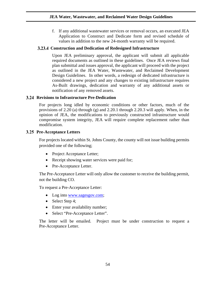f. If any additional wastewater services or removal occurs, an executed JEA Application to Construct and Dedicate form and revised schedule of values in addition to the new 24-month warranty will be required.

# **Construction and Dedication of Redesigned Infrastructure**

Upon JEA preliminary approval, the applicant will submit all applicable required documents as outlined in these guidelines. Once JEA reviews final plan submittal and issues approval, the applicant will proceed with the project as outlined in the JEA Water, Wastewater, and Reclaimed Development Design Guidelines. In other words, a redesign of dedicated infrastructure is considered a new project and any changes to existing infrastructure requires As-Built drawings, dedication and warranty of any additional assets or notification of any removed assets.

# **Revisions to Infrastructure Pre-Dedication**

For projects long idled by economic conditions or other factors, much of the provisions of 2.20 (a) through (g) and 2.20.1 through 2.20.3 will apply. When, in the opinion of JEA, the modifications to previously constructed infrastructure would compromise system integrity, JEA will require complete replacement rather than modification.

# **3.25 Pre-Acceptance Letters**

For projects located within St. Johns County, the county will not issue building permits provided one of the following;

- Project Acceptance Letter;
- Receipt showing water services were paid for;
- Pre-Acceptance Letter.

The Pre-Acceptance Letter will only allow the customer to receive the building permit, not the building CO.

To request a Pre-Acceptance Letter:

- Log into [www.sagesgov.com;](http://www.sagesgov.com/)
- Select Step 4;
- Enter your availability number;
- Select "Pre-Acceptance Letter".

The letter will be emailed. Project must be under construction to request a Pre-Acceptance Letter.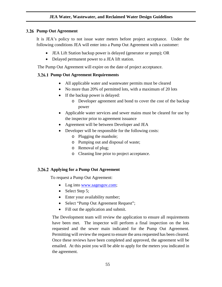### **Pump Out Agreement**

It is JEA's policy to not issue water meters before project acceptance. Under the following conditions JEA will enter into a Pump Out Agreement with a customer:

- JEA Lift Station backup power is delayed (generator or pump); OR
- Delayed permanent power to a JEA lift station.

The Pump Out Agreement will expire on the date of project acceptance.

# **Pump Out Agreement Requirements**

- All applicable water and wastewater permits must be cleared
- No more than 20% of permitted lots, with a maximum of 20 lots
- If the backup power is delayed:
	- o Developer agreement and bond to cover the cost of the backup power
- Applicable water services and sewer mains must be cleared for use by the inspector prior to agreement issuance
- Agreement will be between Developer and JEA
- Developer will be responsible for the following costs:
	- o Plugging the manhole;
	- o Pumping out and disposal of waste;
	- o Removal of plug;
	- o Cleaning line prior to project acceptance.

## **Applying for a Pump Out Agreement**

To request a Pump Out Agreement:

- Log into [www.sagesgov.com;](http://www.sagesgov.com/)
- Select Step 5;
- Enter your availability number;
- Select "Pump Out Agreement Request";
- Fill out the application and submit.

The Development team will review the application to ensure all requirements have been met. The inspector will perform a final inspection on the lots requested and the sewer main indicated for the Pump Out Agreement. Permitting will review the request to ensure the area requested has been cleared. Once these reviews have been completed and approved, the agreement will be emailed. At this point you will be able to apply for the meters you indicated in the agreement.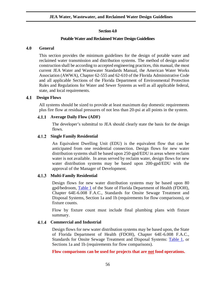# **Section 4.0**

### **Potable Water and Reclaimed Water Design Guidelines**

### **4.0 General**

This section provides the minimum guidelines for the design of potable water and reclaimed water transmission and distribution systems. The method of design and/or construction shall be according to accepted engineering practices, this manual, the most current JEA Water and Wastewater Standards Manual, the American Water Works Association (AWWA), Chapter 62-555 and 62-610 of the Florida Administrative Code and all applicable Sections of the Florida Department of Environmental Protection Rules and Regulations for Water and Sewer Systems as well as all applicable federal, state, and local requirements.

#### $4.1$ **Design Flows**

All systems should be sized to provide at least maximum day domestic requirements plus fire flow at residual pressures of not less than 20-psi at all points in the system.

### **4.1.1 Average Daily Flow (ADF)**

The developer's submittal to JEA should clearly state the basis for the design flows.

### **Single Family Residential**

An Equivalent Dwelling Unit (EDU) is the equivalent flow that can be anticipated from one residential connection. Design flows for new water distribution systems shall be based upon 250-gpd/EDU in areas where reclaim water is not available. In areas served by reclaim water, design flows for new water distribution systems may be based upon 200-gpd/EDU with the approval of the Manager of Development.

## **Multi-Family Residential**

Design flows for new water distribution systems may be based upon 80 gpd/bedroom, [Table 1](https://www.flrules.org/gateway/RuleNo.asp?ID=64E-6.008) of the State of Florida Department of Health (FDOH), Chapter 64E-6.008 F.A.C., Standards for Onsite Sewage Treatment and Disposal Systems, Section 1a and 1b (requirements for flow comparisons), or fixture counts.

Flow by fixture count must include final plumbing plans with fixture summary.

## **Commercial and Industrial**

Design flows for new water distribution systems may be based upon, the State of Florida Department of Health (FDOH), Chapter 64E-6.008 F.A.C., Standards for Onsite Sewage Treatment and Disposal Systems: [Table 1,](https://www.flrules.org/gateway/RuleNo.asp?ID=64E-6.008) or Sections 1a and 1b (requirements for flow comparisons).

**Flow comparisons can be used for projects that are not food operations.**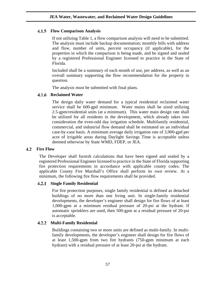# **Flow Comparison Analysis**

If not utilizing Table 1, a flow comparison analysis will need to be submitted. The analysis must include backup documentation; monthly bills with address and flow, number of units, percent occupancy (if applicable), for the properties in which the comparison is being made, and be signed and sealed by a registered Professional Engineer licensed to practice in the State of Florida.

Included shall be a summary of each month of use, per address, as well as an overall summary supporting the flow recommendation for the property in question.

The analysis must be submitted with final plans.

#### 4.1.6 **Reclaimed Water**

The design daily water demand for a typical residential reclaimed water service shall be 600-gpd minimum. Water mains shall be sized utilizing 2.5-gpm/residential units (at a minimum). This water main design rate shall be utilized for all residents in the development, which already takes into consideration the even-odd day irrigation schedule. Multifamily residential, commercial, and industrial flow demand shall be estimated on an individual case-by-case basis. A minimum average daily irrigation rate of 3,900-gpd per acre of irrigable areas during Daylight Savings Time is acceptable unless deemed otherwise by State WMD, FDEP, or JEA.

## **4.2** Fire Flow

The Developer shall furnish calculations that have been signed and sealed by a registered Professional Engineer licensed to practice in the State of Florida supporting fire protection requirements in accordance with applicable county codes. The applicable County Fire Marshall's Office shall perform its own review. At a minimum, the following fire flow requirements shall be provided.

## **Single Family Residential**

For fire protection purposes, single family residential is defined as detached buildings of no more than one living unit. In single-family residential developments, the developer's engineer shall design for fire flows of at least 1,000-gpm at a minimum residual pressure of 20-psi at the hydrant. If automatic sprinklers are used, then 500-gpm at a residual pressure of 20-psi is acceptable.

# **Multi-Family Residential**

Buildings containing two or more units are defined as multi-family. In multifamily developments, the developer's engineer shall design for fire flows of at least 1,500-gpm from two fire hydrants (750-gpm minimum at each hydrant) with a residual pressure of at least 20-psi at the hydrant.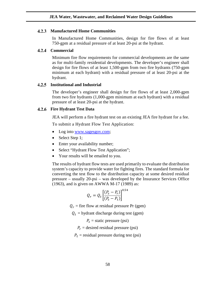### **Manufactured Home Communities**

In Manufactured Home Communities, design for fire flows of at least 750-gpm at a residual pressure of at least 20-psi at the hydrant.

#### $4.2.4$ **Commercial**

Minimum fire flow requirements for commercial developments are the same as for multi-family residential developments. The developer's engineer shall design for fire flows of at least 1,500-gpm from two fire hydrants (750-gpm minimum at each hydrant) with a residual pressure of at least 20-psi at the hydrant.

#### **Institutional and Industrial**  $4.2.5$

The developer's engineer shall design for fire flows of at least 2,000-gpm from two fire hydrants (1,000-gpm minimum at each hydrant) with a residual pressure of at least 20-psi at the hydrant.

### **Fire Hydrant Test Data**

JEA will perform a fire hydrant test on an existing JEA fire hydrant for a fee.

To submit a Hydrant Flow Test Application:

- Log into [www.sagesgov.com;](http://www.sagesgov.com/)
- Select Step 1;
- Enter your availability number;
- Select "Hydrant Flow Test Application";
- Your results will be emailed to you.

The results of hydrant flow tests are used primarily to evaluate the distribution system's capacity to provide water for fighting fires. The standard formula for converting the test flow to the distribution capacity at some desired residual pressure – usually 20-psi – was developed by the Insurance Services Office (1963), and is given on AWWA M-17 (1989) as:

$$
Q_r = Q_t \left[ \frac{(P_s - P_r)}{(P_s - P_t)} \right]^{0.54}
$$

 $Q_r$  = fire flow at residual pressure Pr (gpm)

 $Q_t$  = hydrant discharge during test (gpm)

 $P_s$  = static pressure (psi)

 $P_r$  = desired residual pressure (psi)

 $P_t$  = residual pressure during test (psi)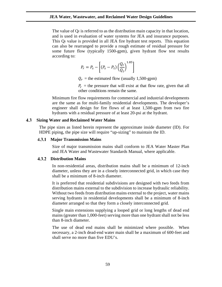The value of Qr is referred to as the distribution main capacity in that location, and is used in evaluation of water systems for JEA and insurance purposes. This Qr value is provided in all JEA fire hydrant test reports. This equation can also be rearranged to provide a rough estimate of residual pressure for some future flow (typically 1500-gpm), given hydrant flow test results according to:

$$
P_r = P_s - \left[ (P_s - P_t) \left( \frac{Q_r}{Q_t} \right)^{1.85} \right]
$$

 $Q_r$  = the estimated flow (usually 1,500-gpm)

 $P_r$  = the pressure that will exist at that flow rate, given that all other conditions remain the same.

Minimum fire flow requirements for commercial and industrial developments are the same as for multi-family residential developments. The developer's engineer shall design for fire flows of at least 1,500-gpm from two fire hydrants with a residual pressure of at least 20-psi at the hydrant.

#### **Sizing Water and Reclaimed Water Mains** 4.3

The pipe sizes as listed herein represent the approximate inside diameter (ID). For HDPE piping, the pipe size will require "up-sizing" to maintain the ID.

#### **Major Transmission Mains** 4.3.1

Size of major transmission mains shall conform to JEA Water Master Plan and JEA Water and Wastewater Standards Manual, where applicable.

#### 4.3.2 **Distribution Mains**

In non-residential areas, distribution mains shall be a minimum of 12-inch diameter, unless they are in a closely interconnected grid, in which case they shall be a minimum of 8-inch diameter.

It is preferred that residential subdivisions are designed with two feeds from distribution mains external to the subdivision to increase hydraulic reliability. Without two feeds from distribution mains external to the project, water mains serving hydrants in residential developments shall be a minimum of 8-inch diameter arranged so that they form a closely interconnected grid.

Single main extensions supplying a looped grid or long lengths of dead end mains (greater than 1,000-feet) serving more than one hydrant shall not be less than 8-inch diameter.

The use of dead end mains shall be minimized where possible. When necessary, a 2-inch dead-end water main shall be a maximum of 600-feet and shall serve no more than five EDU's.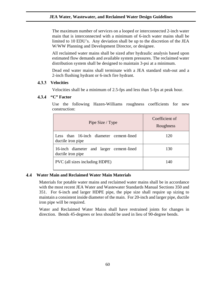The maximum number of services on a looped or interconnected 2-inch water main that is interconnected with a minimum of 6-inch water mains shall be limited to 10 EDU's. Any deviation shall be up to the discretion of the JEA W/WW Planning and Development Director, or designee.

All reclaimed water mains shall be sized after hydraulic analysis based upon estimated flow demands and available system pressures. The reclaimed water distribution system shall be designed to maintain 3-psi at a minimum.

Dead end water mains shall terminate with a JEA standard stub-out and a 2-inch flushing hydrant or 6-inch fire hydrant.

#### 4.3.3 **Velocities**

Velocities shall be a minimum of 2.5-fps and less than 5-fps at peak hour.

#### 4.3.4 **"C" Factor**

Use the following Hazen-Williams roughness coefficients for new construction:

| Pipe Size / Type                                              | Coefficient of<br>Roughness |  |  |
|---------------------------------------------------------------|-----------------------------|--|--|
| Less than 16-inch diameter cement-lined<br>ductile iron pipe  | 120                         |  |  |
| 16-inch diameter and larger cement-lined<br>ductile iron pipe | 130                         |  |  |
| PVC (all sizes including HDPE)                                | 140                         |  |  |

#### 4.4 **Water Main and Reclaimed Water Main Materials**

Materials for potable water mains and reclaimed water mains shall be in accordance with the most recent JEA Water and Wastewater Standards Manual Sections 350 and 351. For 6-inch and larger HDPE pipe, the pipe size shall require up sizing to maintain a consistent inside diameter of the main. For 20-inch and larger pipe, ductile iron pipe will be required.

Water and Reclaimed Water Mains shall have restrained joints for changes in direction. Bends 45-degrees or less should be used in lieu of 90-degree bends.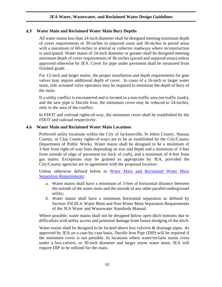### **Water Main and Reclaimed Water Main Bury Depths**

All water mains less than 24-inch diameter shall be designed meeting minimum depth of cover requirements of 30-inches in unpaved areas and 36-inches in paved areas with a maximum of 60-inches in arterial or collector roadways where reconstruction is anticipated. Water mains of 24-inch diameter or greater shall be designed meeting minimum depth of cover requirements of 36-inches (paved and unpaved areas) unless approved otherwise by JEA. Cover for pipe under pavement shall be measured from finished grade.

For 12-inch and larger mains, the proper installation and depth requirements for gate valves may require additional depth of cover. In cases of a 16-inch or larger water main, side actuated valve operators may be required to minimize the depth of bury of the main.

If a utility conflict is encountered and is located in a non-traffic area (no traffic loads), and the new pipe is Ductile Iron, the minimum cover may be reduced to 24-inches, only in the area of the conflict.

In FDOT and railroad rights-of-way, the minimum cover shall be established by the FDOT and railroad respectively.

#### **Water Main and Reclaimed Water Main Locations** 4.6

Preferred utility locations within the City of Jacksonville, St Johns County, Nassau County, or Clay County rights-of-ways are to be as established by the City/County Department of Public Works. Water mains shall be designed to be a minimum of 3-feet from right-of-way lines depending on size and depth and a minimum of 3-feet from outside of edge of pavement (or back of curb), and a minimum of 4-feet from gas mains. Exceptions may be granted as appropriate by JEA, provided the City/County agencies are in agreement with the proposed location.

Unless otherwise defined below in Water Main and Reclaimed Water Main [Separation Requirements:](#page-61-0)

- a. Water mains shall have a minimum of 3-feet of horizontal distance between the outside of the water main and the outside of any other parallel underground utility;
- b. Water mains shall have a minimum horizontal separation as defined by Section 350 III.4. Water Main and Non-Water Main Separation Requirements of the JEA Water and Wastewater Standards Manual.

Where possible, water mains shall not be designed below open ditch bottoms due to difficulties with utility access and potential damage from future dredging of the ditch.

Water mains shall be designed to be located above box culverts & drainage pipes. As approved by JEA on a case-by-case basis, Ductile Iron Pipe (DIP) will be required if the minimum cover is not possible. In locations where water/reclaim mains cross under a box-culvert, or 30-inch diameter and larger storm water main, JEA will require DIP to be utilized for the main.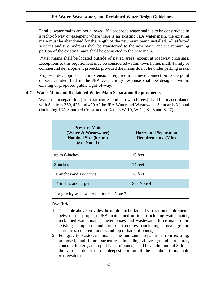Parallel water mains are not allowed. If a proposed water main is to be constructed in a right-of-way or easement where there is an existing JEA water main, the existing main must be abandoned for the length of the new main being installed. All affected services and fire hydrants shall be transferred to the new main, and the remaining portion of the existing main shall be connected to the new main.

Water mains shall be located outside of paved areas, except at roadway crossings. Exceptions to this requirement may be considered within town home, multi-family or commercial development projects, provided the mains do not lie under parking areas.

Proposed development main extensions required to achieve connection to the point of service identified in the JEA Availability response shall be designed within existing or proposed public right-of-way.

#### <span id="page-61-0"></span>4.7 **Water Main and Reclaimed Water Main Separation Requirements**

Water main separation (from, structures and hardwood trees) shall be in accordance with Sections 350, 428 and 429 of the JEA Water and Wastewater Standards Manual (including JEA Standard Construction Details W-10, W-11, S-26 and S-27).

| <b>Pressure Main</b><br>(Water & Wastewater)<br><b>Nominal Size (inches)</b><br>(See Note 1) | <b>Horizontal Separation</b><br><b>Requirements (Min)</b> |  |  |  |
|----------------------------------------------------------------------------------------------|-----------------------------------------------------------|--|--|--|
| up to 6-inches                                                                               | 10 feet                                                   |  |  |  |
| 8-inches                                                                                     | 14 feet                                                   |  |  |  |
| 10-inches and 12-inches                                                                      | 18 feet                                                   |  |  |  |
| 14-inches and larger                                                                         | See Note 4                                                |  |  |  |
| For gravity wastewater mains, see Note 2.                                                    |                                                           |  |  |  |

### **NOTES:**

- 1. The table above provides the minimum horizontal separation requirements between the proposed JEA maintained utilities (including water mains, reclaimed water mains, meter boxes and wastewater force mains) and existing, proposed and future structures (including above ground structures, concrete footers and top of bank of ponds).
- 2. For gravity wastewater mains, the horizontal separation from existing, proposed, and future structures (including above ground structures, concrete footers, and top of bank of ponds) shall be a minimum of 3 times the vertical depth of the deepest portion of the manhole-to-manhole wastewater run.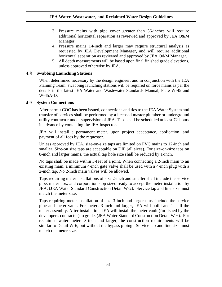- 3. Pressure mains with pipe cover greater than 36-inches will require additional horizontal separation as reviewed and approved by JEA O&M Manager.
- 4. Pressure mains 14-inch and larger may require structural analysis as requested by JEA Development Manager, and will require additional horizontal separation as reviewed and approved by JEA O&M Manager.
- 5. All depth measurements will be based upon final finished grade elevations, unless approved otherwise by JEA.

# **Swabbing Launching Stations**

When determined necessary by the design engineer, and in conjunction with the JEA Planning Team, swabbing launching stations will be required on force mains as per the details in the latest JEA Water and Wastewater Standards Manual, Plate W-45 and W-45A-D.

#### 4.9 **System Connections**

After permit COC has been issued, connections and ties to the JEA Water System and transfer of services shall be performed by a licensed master plumber or underground utility contractor under supervision of JEA. Taps shall be scheduled at least 72-hours in advance by contacting the JEA inspector.

JEA will install a permanent meter, upon project acceptance, application, and payment of all fees by the requestor.

Unless approved by JEA, size-on-size taps are limited on PVC mains to 12-inch and smaller. Size-on size taps are acceptable on DIP (all sizes). For size-on-size taps on 8-inch and larger mains, the actual tap hole size shall be reduced by 1-inch.

No taps shall be made within 5-feet of a joint. When connecting a 2-inch main to an existing main, a minimum 4-inch gate valve shall be used with a 4-inch plug with a 2-inch tap. No 2-inch main valves will be allowed.

Taps requiring meter installations of size 2-inch and smaller shall include the service pipe, meter box, and corporation stop sized ready to accept the meter installation by JEA. (JEA Water Standard Construction Detail W-2). Service tap and line size must match the meter size.

Taps requiring meter installation of size 3-inch and larger must include the service pipe and meter vault. For meters 3-inch and larger, JEA will build and install the meter assembly. After installation, JEA will install the meter vault (furnished by the developer's contractor) to grade. (JEA Water Standard Construction Detail W-6). For reclaimed water meters 3-inch and larger, the construction requirements will be similar to Detail W-6, but without the bypass piping. Service tap and line size must match the meter size.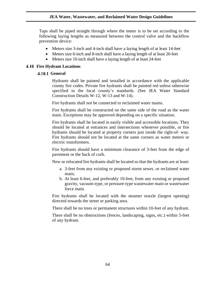Taps shall be piped straight through where the meter is to be set according to the following laying lengths as measured between the control valve and the backflow prevention device:

- Meters size 3-inch and 4-inch shall have a laying length of at least 14-feet
- Meters size 6-inch and 8-inch shall have a laying length of at least 20-feet
- Meters size 10-inch shall have a laying length of at least 24-feet

### **4.10 Fire Hydrant Locations**

### **4.10.1 General**

Hydrants shall be painted and installed in accordance with the applicable county fire codes. Private fire hydrants shall be painted red unless otherwise specified in the local county's standards. (See JEA Water Standard Construction Details W-12, W-13 and W-14).

Fire hydrants shall not be connected to reclaimed water mains.

Fire hydrants shall be constructed on the same side of the road as the water main. Exceptions may be approved depending on a specific situation.

Fire hydrants shall be located in easily visible and accessible locations. They should be located at entrances and intersections whenever possible, or fire hydrants should be located at property corners just inside the right-of- way. Fire hydrants should not be located at the same corners as water meters or electric transformers.

Fire hydrants should have a minimum clearance of 3-feet from the edge of pavement or the back of curb.

New or relocated fire hydrants shall be located so that the hydrants are at least:

- a. 3-feet from any existing or proposed storm sewer, or reclaimed water main;
- b. At least 6-feet, and preferably 10-feet, from any existing or proposed gravity, vacuum-type, or pressure-type wastewater main or wastewater force main.

Fire hydrants shall be located with the steamer nozzle (largest opening) directed towards the street or parking area.

There shall be no trees or permanent structures within 10-feet of any hydrant.

There shall be no obstructions (fences, landscaping, signs, etc.) within 5-feet of any hydrant.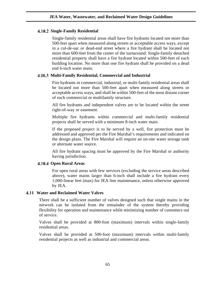# **Single-Family Residential**

Single-family residential areas shall have fire hydrants located not more than 500-feet apart when measured along streets or acceptable access ways, except in a cul-de-sac or dead-end street where a fire hydrant shall be located not more than 600-feet from the center of the turnaround. Single-family detached residential property shall have a fire hydrant located within 500-feet of each building location. No more than one fire hydrant shall be provided on a dead end 6-inch water main.

# **Multi-Family Residential, Commercial and Industrial**

Fire hydrants in commercial, industrial, or multi-family residential areas shall be located not more than 500-feet apart when measured along streets or acceptable access ways, and shall be within 500-feet of the most distant corner of each commercial or multifamily structure.

All fire hydrants and independent valves are to be located within the street right-of-way or easement.

Multiple fire hydrants within commercial and multi-family residential projects shall be served with a minimum 8-inch water main.

If the proposed project is to be served by a well, fire protection must be addressed and approved per the Fire Marshal's requirements and indicated on the design plans. The Fire Marshal will require an on-site water storage tank or alternate water source.

All fire hydrant spacing must be approved by the Fire Marshal or authority having jurisdiction.

# **Open Rural Areas**

For open rural areas with few services (excluding the service areas described above), water mains larger than 6-inch shall include a fire hydrant every 1,000-linear feet (max) for JEA line maintenance, unless otherwise approved by JEA.

## **Water and Reclaimed Water Valves**

There shall be a sufficient number of valves designed such that single mains in the network can be isolated from the remainder of the system thereby providing flexibility for operation and maintenance while minimizing number of customers out of service.

Valves shall be provided at 800-foot (maximum) intervals within single-family residential areas.

Valves shall be provided at 500-foot (maximum) intervals within multi-family residential projects as well as industrial and commercial areas.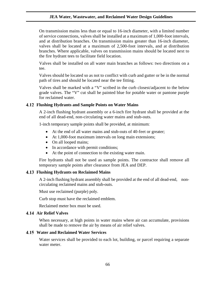On transmission mains less than or equal to 16-inch diameter, with a limited number of service connections, valves shall be installed at a maximum of 1,000-foot intervals, and at distribution branches. On transmission mains greater than 16-inch diameter, valves shall be located at a maximum of 2,500-foot intervals, and at distribution branches. Where applicable, valves on transmission mains should be located next to the fire hydrant tees to facilitate field location.

Valves shall be installed on all water main branches as follows: two directions on a tee.

Valves should be located so as not to conflict with curb and gutter or be in the normal path of tires and should be located near the tee fitting.

Valves shall be marked with a "V" scribed in the curb closest/adjacent to the below grade valves. The "V" cut shall be painted blue for potable water or pantone purple for reclaimed water.

### **Flushing Hydrants and Sample Points on Water Mains**

A 2-inch flushing hydrant assembly or a 6-inch fire hydrant shall be provided at the end of all dead-end, non-circulating water mains and stub-outs.

1-inch temporary sample points shall be provided, at minimum:

- At the end of all water mains and stub-outs of 40-feet or greater;
- At 1,000-foot maximum intervals on long main extensions;
- On all looped mains;
- In accordance with permit conditions;
- At the point of connection to the existing water main.

Fire hydrants shall not be used as sample points. The contractor shall remove all temporary sample points after clearance from JEA and DEP.

### **Flushing Hydrants on Reclaimed Mains**

A 2-inch flushing hydrant assembly shall be provided at the end of all dead-end, noncirculating reclaimed mains and stub-outs.

Must use reclaimed (purple) poly.

Curb stop must have the reclaimed emblem.

Reclaimed meter box must be used.

### **Air Relief Valves**

When necessary, at high points in water mains where air can accumulate, provisions shall be made to remove the air by means of air relief valves.

### **Water and Reclaimed Water Services**

Water services shall be provided to each lot, building, or parcel requiring a separate water meter.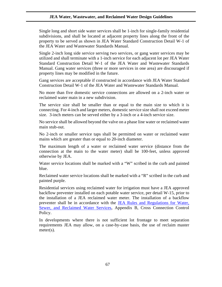Single long and short side water services shall be 1-inch for single-family residential subdivisions, and shall be located at adjacent property lines along the front of the property to be served as shown in JEA Water Standard Construction Detail W-1 of the JEA Water and Wastewater Standards Manual.

Single 2-inch long side service serving two services, or gang water services may be utilized and shall terminate with a 1-inch service for each adjacent lot per JEA Water Standard Construction Detail W-1 of the JEA Water and Wastewater Standards Manual. Gang water services (three or more services in one area) are discouraged if property lines may be modified in the future.

Gang services are acceptable if constructed in accordance with JEA Water Standard Construction Detail W-1 of the JEA Water and Wastewater Standards Manual.

No more than five domestic service connections are allowed on a 2-inch water or reclaimed water main in a new subdivision.

The service size shall be smaller than or equal to the main size to which it is connecting. For 4-inch and larger meters, domestic service size shall not exceed meter size. 3-inch meters can be served either by a 3-inch or a 4-inch service size.

No service shall be allowed beyond the valve on a phase line water or reclaimed water main stub-out.

No 2-inch or smaller service taps shall be permitted on water or reclaimed water mains which are greater than or equal to 20-inch diameter.

The maximum length of a water or reclaimed water service (distance from the connection at the main to the water meter) shall be 100-feet, unless approved otherwise by JEA.

Water service locations shall be marked with a "W" scribed in the curb and painted blue.

Reclaimed water service locations shall be marked with a "R" scribed in the curb and painted purple.

Residential services using reclaimed water for irrigation must have a JEA approved backflow preventer installed on each potable water service, per detail W-15, prior to the installation of a JEA reclaimed water meter. The installation of a backflow preventer shall be in accordance with the [JEA Rules and Regulations for Water,](https://jea.com/Pdf/Download/12884911864)  [Sewer, and Reclaimed Water Services,](https://jea.com/Pdf/Download/12884911864) Appendix B, Cross Connection Control Policy.

In developments where there is not sufficient lot frontage to meet separation requirements JEA may allow, on a case-by-case basis, the use of reclaim master meter(s).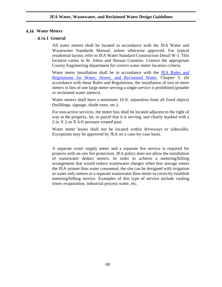### **Water Meters**

### **4.16.1 General**

All water meters shall be located in accordance with the JEA Water and Wastewater Standards Manual, unless otherwise approved. For typical residential layout, refer to JEA Water Standard Construction Detail W-1. This location varies in St. Johns and Nassau Counties. Contact the appropriate County Engineering department for correct water meter location criteria.

Water meter installation shall be in accordance with the [JEA Rules and](https://jea.com/Pdf/Download/12884911864)  [Regulations for Water, Sewer,](https://jea.com/Pdf/Download/12884911864) and Reclaimed Water, Chapter 3. (In accordance with these Rules and Regulations, the installation of two or more meters in lieu of one large meter serving a single service is prohibited (potable or reclaimed water meters).

Water meters shall have a minimum 10 ft. separation from all fixed objects (buildings, signage, shade trees, etc.).

For non-active services, the meter box shall be located adjacent to the right of way at the property, lot, or parcel that it is serving, and clearly marked with a 2-in X 2-in X 4-ft pressure treated post.

Water meter boxes shall not be located within driveways or sidewalks. Exceptions may be approved by JEA on a case-by-case basis.

A separate water supply meter and a separate fire service is required for projects with on-site fire protection. JEA policy does not allow the installation of wastewater deduct meters. In order to achieve a metering/billing arrangement that would reduce wastewater charges when less sewage enters the JEA system than water consumed, the site can be designed with irrigation or water only meters or a separate wastewater flow meter to correctly establish metering/billing service. Examples of this type of service include cooling tower evaporation, industrial process water, etc.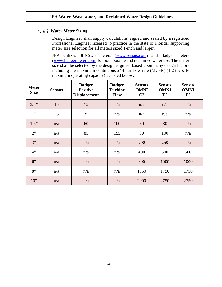# **Water Meter Sizing**

Design Engineer shall supply calculations, signed and sealed by a registered Professional Engineer licensed to practice in the state of Florida, supporting meter size selection for all meters sized 1-inch and larger.

JEA utilizes SENSUS meters [\(www.sensus.com\)](http://www.sensus.com/) and Badger meters [\(www.badgermeter.com\)](http://www.badgermeter.com/) for both potable and reclaimed water use. The meter size shall be selected by the design engineer based upon many design factors including the maximum continuous 24-hour flow rate (MCFR) (1/2 the safe maximum operating capacity) as listed below:

| <b>Meter</b><br><b>Size</b> | <b>Sensus</b> | <b>Badger</b><br><b>Positive</b><br><b>Displacement</b> | <b>Badger</b><br><b>Turbine</b><br><b>Flow</b> | <b>Sensus</b><br><b>OMNI</b><br>C <sub>2</sub> | <b>Sensus</b><br><b>OMNI</b><br>T <sub>2</sub> | <b>Sensus</b><br><b>OMNI</b><br>F <sub>2</sub> |
|-----------------------------|---------------|---------------------------------------------------------|------------------------------------------------|------------------------------------------------|------------------------------------------------|------------------------------------------------|
| $3/4$ "                     | 15            | 15                                                      | n/a                                            | n/a                                            | n/a                                            | n/a                                            |
| 1"                          | 25            | 35                                                      | n/a                                            | n/a                                            | n/a                                            | n/a                                            |
| 1.5"                        | n/a           | 60                                                      | 100                                            | 80                                             | 80                                             | n/a                                            |
| 2"                          | n/a           | 85                                                      | 155                                            | 80                                             | 100                                            | n/a                                            |
| 3"                          | n/a           | n/a                                                     | n/a                                            | 200                                            | 250                                            | n/a                                            |
| 4"                          | n/a           | n/a                                                     | n/a                                            | 400                                            | 500                                            | 500                                            |
| 6"                          | n/a           | n/a                                                     | n/a                                            | 800                                            | 1000                                           | 1000                                           |
| 8"                          | n/a           | n/a                                                     | n/a                                            | 1350                                           | 1750                                           | 1750                                           |
| $10$ "                      | n/a           | n/a                                                     | n/a                                            | 2000                                           | 2750                                           | 2750                                           |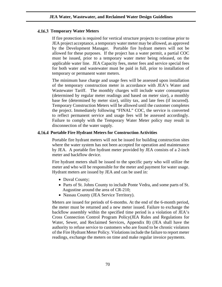### **4.16.3 Temporary Water Meters**

If fire protection is required for vertical structure projects to continue prior to JEA project acceptance, a temporary water meter may be allowed, as approved by the Development Manager. Portable fire hydrant meters will not be allowed for these purposes. If the project has a water permit, a partial COC must be issued, prior to a temporary water meter being released, on the applicable water line. JEA Capacity fees, meter fees and service special fees for both water and wastewater must be paid in full, prior to installation of temporary or permanent water meters.

The minimum base charge and usage fees will be assessed upon installation of the temporary construction meter in accordance with JEA's Water and Wastewater Tariff. The monthly charges will include water consumption (determined by regular meter readings and based on meter size), a monthly base fee (determined by meter size), utility tax, and late fees (if incurred). Temporary Construction Meters will be allowed until the customer completes the project. Immediately following "FINAL" COC, the service is converted to reflect permanent service and usage fees will be assessed accordingly. Failure to comply with the Temporary Water Meter policy may result in disconnection of the water supply.

### **Portable Fire Hydrant Meters for Construction Activities**

Portable fire hydrant meters will not be issued for building construction sites where the water system has not been accepted for operation and maintenance by JEA. A portable fire hydrant meter provided by JEA consists of a 2-inch meter and backflow device.

Fire hydrant meters shall be issued to the specific party who will utilize the meter and who will be responsible for the meter and payment for water usage. Hydrant meters are issued by JEA and can be used in:

- Duval County;
- Parts of St. Johns County to include Ponte Vedra, and some parts of St. Augustine around the area of CR-210;
- Nassau County (JEA Service Territory).

Meters are issued for periods of 6-months. At the end of the 6-month period, the meter must be returned and a new meter issued. Failure to exchange the backflow assembly within the specified time period is a violation of JEA's Cross Connection Control Program Policy(JEA Rules and Regulations for Water, Sewer, and Reclaimed Services, Appendix B) (JEA shall have the authority to refuse service to customers who are found to be chronic violators of the Fire Hydrant Meter Policy. Violations include the failure to report meter readings, exchange the meters on time and make regular invoice payments.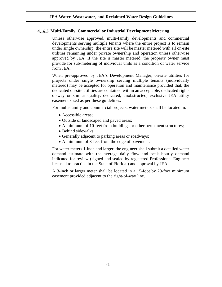# **Multi-Family, Commercial or Industrial Development Metering**

Unless otherwise approved, multi-family developments and commercial developments serving multiple tenants where the entire project is to remain under single ownership, the entire site will be master metered with all on-site utilities remaining under private ownership and operation unless otherwise approved by JEA. If the site is master metered, the property owner must provide for sub-metering of individual units as a condition of water service from JEA.

When pre-approved by JEA's Development Manager, on-site utilities for projects under single ownership serving multiple tenants (individually metered) may be accepted for operation and maintenance provided that, the dedicated on-site utilities are contained within an acceptable, dedicated rightof-way or similar quality, dedicated, unobstructed, exclusive JEA utility easement sized as per these guidelines.

For multi-family and commercial projects, water meters shall be located in:

- Accessible areas;
- Outside of landscaped and paved areas;
- A minimum of 10-feet from buildings or other permanent structures;
- Behind sidewalks:
- Generally adjacent to parking areas or roadways;
- A minimum of 3-feet from the edge of pavement.

For water meters 1-inch and larger, the engineer shall submit a detailed water demand estimate with the average daily flow and peak hourly demand indicated for review (signed and sealed by registered Professional Engineer licensed to practice in the State of Florida ) and approval by JEA.

A 3-inch or larger meter shall be located in a 15-foot by 20-foot minimum easement provided adjacent to the right-of-way line.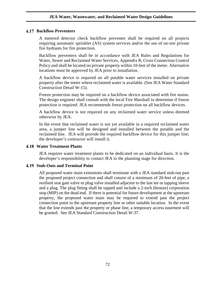# **Backflow Preventers**

A metered detector check backflow preventer shall be required on all projects requiring automatic sprinkler (AS) system services and/or the use of on-site private fire hydrants for fire protection.

Backflow preventers shall be in accordance with JEA Rules and Regulations for Water, Sewer and Reclaimed Water Services, Appendix B, Cross Connection Control Policy and shall be located on private property within 10-feet of the meter. Alternative locations must be approved by JEA prior to installation.

A backflow device is required on all potable water services installed on private property after the meter where reclaimed water is available. (See JEA Water Standard Construction Detail W-15).

Freeze protection may be required on a backflow device associated with fire mains. The design engineer shall consult with the local Fire Marshall to determine if freeze protection is required. JEA recommends freeze protection on all backflow devices.

A backflow device is not required on any reclaimed water service unless deemed otherwise by JEA.

In the event that reclaimed water is not yet available in a required reclaimed water area, a jumper line will be designed and installed between the potable and the reclaimed line. JEA will provide the required backflow device for this jumper line; the developer's contractor will install it.

## **Water Treatment Plants**

JEA requires water treatment plants to be dedicated on an individual basis. It is the developer's responsibility to contact JEA in the planning stage for direction.

# **Stub-Outs and Terminal Point**

All proposed water main extensions shall terminate with a JEA standard stub-out past the proposed project connection and shall consist of a minimum of 20-feet of pipe, a resilient seat gate valve or plug valve installed adjacent to the last tee or tapping sleeve and a plug. The plug fitting shall be tapped and include a 2-inch (bronze) corporation stop (MIP) on the dead end. If there is potential for future development at the upstream property, the proposed water main may be required to extend past the project connection point to the upstream property line or other suitable location. In the event that the line extends past the property or phase line, a temporary access easement will be granted. See JEA Standard Construction Detail W-37.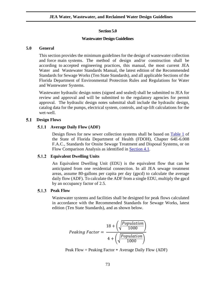### **Section 5.0**

### **Wastewater Design Guidelines**

## **5.0 General**

This section provides the minimum guidelines for the design of wastewater collection and force main systems. The method of design and/or construction shall be according to accepted engineering practices, this manual, the most current JEA Water and Wastewater Standards Manual, the latest edition of the Recommended Standards for Sewage Works (Ten State Standards), and all applicable Sections of the Florida Department of Environmental Protection Rules and Regulations for Water and Wastewater Systems.

Wastewater hydraulic design notes (signed and sealed) shall be submitted to JEA for review and approval and will be submitted to the regulatory agencies for permit approval. The hydraulic design notes submittal shall include the hydraulic design, catalog data for the pumps, electrical system, controls, and up-lift calculations for the wet-well.

#### 5.1 **Design Flows**

# **5.1.1** Average Daily Flow (ADF)

Design flows for new sewer collection systems shall be based on [Table 1](https://www.flrules.org/gateway/RuleNo.asp?ID=64E-6.008) of the State of Florida Department of Health (FDOH), Chapter 64E-6.008 F.A.C., Standards for Onsite Sewage Treatment and Disposal Systems, or on Flow Comparison Analysis as identified in [Section 4.1.](#page-55-0)

## **Equivalent Dwelling Units**

An Equivalent Dwelling Unit (EDU) is the equivalent flow that can be anticipated from one residential connection. In all JEA sewage treatment areas, assume 80-gallons per capita per day (gpcd) to calculate the average daily flow (ADF). To calculate the ADF from a single EDU, multiply the gpcd by an occupancy factor of 2.5.

## **5.1.3** Peak Flow

Wastewater systems and facilities shall be designed for peak flows calculated in accordance with the Recommended Standards for Sewage Works, latest edition (Ten State Standards), and as shown below.

$$
Peaking Factor = \frac{18 + \left(\sqrt{\frac{Population}{1000}}\right)}{4 + \left(\sqrt{\frac{Population}{1000}}\right)}
$$

Peak Flow = Peaking Factor \* Average Daily Flow (ADF)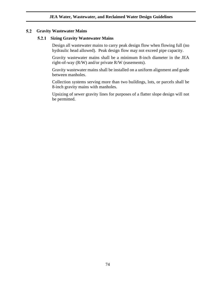#### $5.2$ **Gravity Wastewater Mains**

# **Sizing Gravity Wastewater Mains**

Design all wastewater mains to carry peak design flow when flowing full (no hydraulic head allowed). Peak design flow may not exceed pipe capacity.

Gravity wastewater mains shall be a minimum 8-inch diameter in the JEA right-of-way (R/W) and/or private R/W (easements).

Gravity wastewater mains shall be installed on a uniform alignment and grade between manholes.

Collection systems serving more than two buildings, lots, or parcels shall be 8-inch gravity mains with manholes.

Upsizing of sewer gravity lines for purposes of a flatter slope design will not be permitted.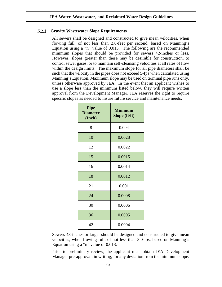## **Gravity Wastewater Slope Requirements**

All sewers shall be designed and constructed to give mean velocities, when flowing full, of not less than 2.0-feet per second, based on Manning's Equation using a "n" value of 0.013. The following are the recommended minimum slopes that should be provided for sewers 42-inches or less. However, slopes greater than these may be desirable for construction, to control sewer gases, or to maintain self-cleansing velocities at all rates of flow within the design limits. The maximum slope for all pipe diameters shall be such that the velocity in the pipes does not exceed 5-fps when calculated using Manning's Equation. Maximum slope may be used on terminal pipe runs only, unless otherwise approved by JEA. In the event that an applicant wishes to use a slope less than the minimum listed below, they will require written approval from the Development Manager. JEA reserves the right to require specific slopes as needed to insure future service and maintenance needs.

| <b>Pipe</b><br><b>Diameter</b><br>(Inch) | <b>Minimum</b><br>Slope (ft/ft) |
|------------------------------------------|---------------------------------|
| 8                                        | 0.004                           |
| 10                                       | 0.0028                          |
| 12                                       | 0.0022                          |
| 15                                       | 0.0015                          |
| 16                                       | 0.0014                          |
| 18                                       | 0.0012                          |
| 21                                       | 0.001                           |
| 24                                       | 0.0008                          |
| 30                                       | 0.0006                          |
| 36                                       | 0.0005                          |
| 42                                       | 0.0004                          |

Sewers 48-inches or larger should be designed and constructed to give mean velocities, when flowing full, of not less than 3.0-fps, based on Manning's Equation using a "n" value of 0.013.

Prior to preliminary review, the applicant must obtain JEA Development Manager pre-approval, in writing, for any deviation from the minimum slope.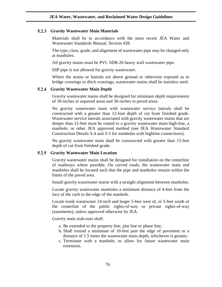### **Gravity Wastewater Main Materials**

Materials shall be in accordance with the most recent JEA Water and Wastewater Standards Manual, Section 428.

The type, class, grade, and alignment of wastewater pipe may be changed only at manholes.

All gravity mains must be PVC SDR-26 heavy wall wastewater pipe.

DIP pipe is not allowed for gravity wastewater.

Where the mains or laterals are above ground or otherwise exposed as in bridge crossings or ditch crossings, wastewater mains shall be stainless steel.

#### 5.2.4 **Gravity Wastewater Main Depth**

Gravity wastewater mains shall be designed for minimum depth requirements of 30-inches in unpaved areas and 36-inches in paved areas.

No gravity wastewater main with wastewater service laterals shall be constructed with a greater than 12-foot depth of cut from finished grade. Wastewater service laterals associated with gravity wastewater mains that are deeper than 12-feet must be routed to a gravity wastewater main high-line, a manhole, or other JEA approved method (see JEA Wastewater Standard Construction Details S-4 and S-5 for manholes with highline connections).

No gravity wastewater main shall be constructed with greater than 15-feet depth of cut from finished grade.

### **Gravity Wastewater Main Location**

Gravity wastewater mains shall be designed for installation on the centerline of roadways where possible. On curved roads, the wastewater main and manholes shall be located such that the pipe and manholes remain within the limits of the paved area.

Install gravity wastewater mains with a straight alignment between manholes.

Locate gravity wastewater manholes a minimum distance of 4-feet from the face of the curb to the edge of the manhole.

Locate trunk wastewater 24-inch and larger 5-feet west of, or 5-feet south of the centerline of the public rights-of-way or private rights-of-way (easements), unless approved otherwise by JEA.

Gravity main stub-outs shall:

- a. Be extended to the property line, plat line or phase line;
- b. Shall extend a minimum of 10-feet past the edge of pavement or a distance of 1.5 times the wastewater main depth, whichever is greater;
- c. Terminate with a manhole, to allow for future wastewater main extension.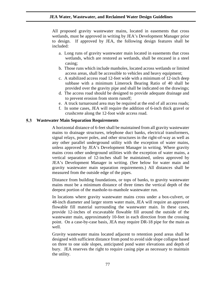All proposed gravity wastewater mains, located in easements that cross wetlands, must be approved in writing by JEA's Development Manager prior to design. If approved by JEA, the following design features shall be included:

- a. Long runs of gravity wastewater main located in easements that cross wetlands, which are restored as wetlands, shall be encased in a steel casing;
- b. Those runs which include manholes, located across wetlands or limited access areas, shall be accessible to vehicles and heavy equipment;
- c. A stabilized access road 12-feet wide with a minimum of 12-inch deep subbase with a minimum Limerock Bearing Ratio of 40 shall be provided over the gravity pipe and shall be indicated on the drawings;
- d. The access road should be designed to provide adequate drainage and to prevent erosion from storm runoff;
- e. A truck turnaround area may be required at the end of all access roads;
- f. In some cases, JEA will require the addition of 6-inch thick gravel or crushcrete along the 12-foot wide access road.

# **Wastewater Main Separation Requirements**

A horizontal distance of 6-feet shall be maintained from all gravity wastewater mains to drainage structures, telephone duct banks, electrical transformers, signal relays, power poles, and other structures in the right-of-way as well as any other parallel underground utility with the exception of water mains, unless approved by JEA's Development Manager in writing. Where gravity mains cross other underground utilities with the exception of water mains, a vertical separation of 12-inches shall be maintained, unless approved by JEA's Development Manager in writing. (See below for water main and gravity wastewater main separation requirements.) All distances shall be measured from the outside edge of the pipes.

Distance from building foundations, or tops of banks, to gravity wastewater mains must be a minimum distance of three times the vertical depth of the deepest portion of the manhole-to-manhole wastewater run.

In locations where gravity wastewater mains cross under a box-culvert, or 48-inch diameter and larger storm water main, JEA will require an approved flowable fill material surrounding the wastewater main. In these cases, provide 12-inches of excavatable flowable fill around the outside of the wastewater main, approximately 10-feet in each direction from the crossing point. On a case-by-case basis, JEA may require DR-18 pipe for the main as well.

Gravity wastewater mains located adjacent to retention pond areas shall be designed with sufficient distance from pond to avoid side slope collapse based on three to one side slopes, anticipated pond water elevations and depth of bury. JEA reserves the right to require casing pipe as necessary to maintain the utility.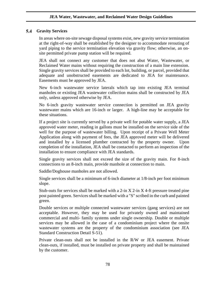# **Gravity Services**

In areas where on-site sewage disposal systems exist, new gravity service termination at the right-of-way shall be established by the designer to accommodate rerouting of yard piping to the service termination elevation via gravity flow; otherwise, an onsite permitted private pump station will be required.

JEA shall not connect any customer that does not abut Water, Wastewater, or Reclaimed Water mains without requiring the construction of a main line extension. Single gravity services shall be provided to each lot, building, or parcel, provided that adequate and unobstructed easements are dedicated to JEA for maintenance. Easements must be approved by JEA.

New 6-inch wastewater service laterals which tap into existing JEA terminal manholes or existing JEA wastewater collection mains shall be constructed by JEA only, unless approved otherwise by JEA.

No 6-inch gravity wastewater service connection is permitted on JEA gravity wastewater mains which are 16-inch or larger. A high-line may be acceptable for these situations.

If a project site is currently served by a private well for potable water supply, a JEA approved water meter, reading in gallons must be installed on the service side of the well for the purpose of wastewater billing. Upon receipt of a Private Well Meter Application along with payment of fees, the JEA approved meter will be delivered and installed by a licensed plumber contracted by the property owner. Upon completion of the installation, JEA shall be contacted to perform an inspection of the installation to ensure compliance with JEA standards.

Single gravity services shall not exceed the size of the gravity main. For 8-inch connections to an 8-inch main, provide manhole at connection to main.

Saddle/Doghouse manholes are not allowed.

Single services shall be a minimum of 6-inch diameter at 1/8-inch per foot minimum slope.

Stub-outs for services shall be marked with a 2-in  $X$  2-in  $X$  4-ft pressure treated pine post painted green. Services shall be marked with a "S" scribed in the curb and painted green.

Double services or multiple connected wastewater services (gang services) are not acceptable. However, they may be used for privately owned and maintained commercial and multi- family systems under single ownership. Double or multiple services may be allowed in the case of a condominium project where the onsite wastewater systems are the property of the condominium association (see JEA Standard Construction Detail S-51).

Private clean-outs shall not be installed in the R/W or JEA easement. Private clean-outs, if installed, must be installed on private property and shall be maintained by the customer.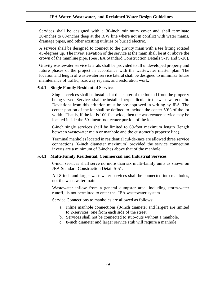Services shall be designed with a 30-inch minimum cover and shall terminate 30-inches to 60-inches deep at the R/W line where not in conflict with water mains, drainage pipes, and other existing utilities or buried electric.

A service shall be designed to connect to the gravity main with a tee fitting rotated 45-degrees up. The invert elevation of the service at the main shall be at or above the crown of the mainline pipe. (See JEA Standard Construction Details S-19 and S-20).

Gravity wastewater service laterals shall be provided to all undeveloped property and future phases of the project in accordance with the wastewater master plan. The location and length of wastewater service lateral shall be designed to minimize future maintenance of traffic, roadway repairs, and restoration work.

# **Single Family Residential Services**

Single services shall be installed at the center of the lot and front the property being served. Services shall be installed perpendicular to the wastewater main. Deviations from this criterion must be pre-approved in writing by JEA. The center portion of the lot shall be defined to include the center 50% of the lot width. That is, if the lot is 100-feet wide, then the wastewater service may be located inside the 50-linear foot center portion of the lot.

6-inch single services shall be limited to 60-foot maximum length (length between wastewater main or manhole and the customer's property line).

Terminal manholes located in residential cul-de-sacs are allowed three service connections (6-inch diameter maximum) provided the service connection inverts are a minimum of 3-inches above that of the manhole.

#### **Multi-Family Residential, Commercial and Industrial Services** 5.4.2

6-inch services shall serve no more than six multi-family units as shown on JEA Standard Construction Detail S-51.

All 8-inch and larger wastewater services shall be connected into manholes, not the wastewater main.

Wastewater inflow from a general dumpster area, including storm-water runoff, is not permitted to enter the JEA wastewater system.

Service Connections to manholes are allowed as follows:

- a. Inline manhole connections (8-inch diameter and larger) are limited to 2-services, one from each side of the street.
- b. Services shall not be connected to stub-outs without a manhole.
- c. 8-inch diameter and larger service stub will require a manhole.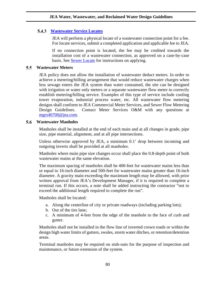# **[Wastewater Service Locates](https://www.jea.com/Engineering_and_Construction/Water_and_Wastewater_Development/Self-Service_Center/Applications.aspx)**

JEA will perform a physical locate of a wastewater connection point for a fee. For locate services, submit a completed application and applicable fee to JEA.

If no connection point is located, the fee may be credited towards the installation cost of a wastewater connection, as approved on a case-by-case basis. See [Sewer Locate](#page-14-0) for instructions on applying.

#### $5.5$ **Wastewater Meters**

JEA policy does not allow the installation of wastewater deduct meters. In order to achieve a metering/billing arrangement that would reduce wastewater charges when less sewage enters the JEA system than water consumed, the site can be designed with irrigation or water only meters or a separate wastewater flow meter to correctly establish metering/billing service. Examples of this type of service include cooling tower evaporation, industrial process water, etc. All wastewater flow metering designs shall conform to JEA Commercial Meter Services, and Sewer Flow Metering Design Guidelines. Contact Meter Services O&M with any questions at [mgrs40700@jea.com.](mailto:mgrs40700@jea.com)

#### 5.6 **Wastewater Manholes**

Manholes shall be installed at the end of each main and at all changes in grade, pipe size, pipe material, alignment, and at all pipe intersections.

Unless otherwise approved by JEA, a minimum 0.1' drop between incoming and outgoing inverts shall be provided at all manholes.

Manholes where main pipe size changes occur shall place the 0.8-depth point of both wastewater mains at the same elevation.

The maximum spacing of manholes shall be 400-feet for wastewater mains less than or equal to 16-inch diameter and 500-feet for wastewater mains greater than 16-inch diameter. A gravity main exceeding the maximum length may be allowed, with prior written approval from JEA's Development Manager, if it is required to complete a terminal run. If this occurs, a note shall be added instructing the contractor "not to exceed the additional length required to complete the run".

Manholes shall be located:

- a. Along the centerline of city or private roadways (including parking lots);
- b. Out of the tire lane;
- c. A minimum of 4-feet from the edge of the manhole to the face of curb and gutter.

Manholes shall not be installed in the flow line of inverted crown roads or within the design high water limits of gutters, swales, storm water ditches, or retention/detention areas.

Terminal manholes may be required on stub-outs for the purpose of inspection and maintenance, or future extension of the system.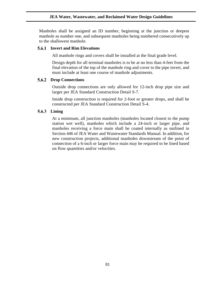Manholes shall be assigned an ID number, beginning at the junction or deepest manhole as number one, and subsequent manholes being numbered consecutively up to the shallowest manhole.

### **Invert and Rim Elevations**

All manhole rings and covers shall be installed at the final grade level.

Design depth for all terminal manholes is to be at no less than 4-feet from the final elevation of the top of the manhole ring and cover to the pipe invert, and must include at least one course of manhole adjustments.

# 5.6.2 Drop Connections

Outside drop connections are only allowed for 12-inch drop pipe size and larger per JEA Standard Construction Detail S-7.

Inside drop construction is required for 2-foot or greater drops, and shall be constructed per JEA Standard Construction Detail S-4.

# **Lining**

At a minimum, all junction manholes (manholes located closest to the pump station wet well), manholes which include a 24-inch or larger pipe, and manholes receiving a force main shall be coated internally as outlined in Section 446 of JEA Water and Wastewater Standards Manual. In addition, for new construction projects, additional manholes downstream of the point of connection of a 6-inch or larger force main may be required to be lined based on flow quantities and/or velocities.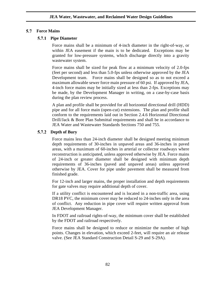## **Force Mains**

## **Pipe Diameter**

Force mains shall be a minimum of 4-inch diameter in the right-of-way, or within JEA easement if the main is to be dedicated. Exceptions may be granted for low-pressure systems, which discharge directly into a gravity wastewater system.

Force mains shall be sized for peak flow at a minimum velocity of 2.0-fps (feet per second) and less than 5.0-fps unless otherwise approved by the JEA Development team. Force mains shall be designed so as to not exceed a maximum allowable sewer force main pressure of 60 psi. If approved by JEA, 4-inch force mains may be initially sized at less than 2-fps. Exceptions may be made, by the Development Manager in writing, on a case-by-case basis during the plan review process.

A plan and profile shall be provided for all horizontal directional drill (HDD) pipe and for all force main (open-cut) extensions. The plan and profile shall conform to the requirements laid out in Section 2.4.6 Horizontal Directional Drill/Jack & Bore Plan Submittal requirements and shall be in accordance to JEA Water and Wastewater Standards Sections 750 and 755.

# **Depth of Bury**

Force mains less than 24-inch diameter shall be designed meeting minimum depth requirements of 30-inches in unpaved areas and 36-inches in paved areas, with a maximum of 60-inches in arterial or collector roadways where reconstruction is anticipated, unless approved otherwise by JEA. Force mains of 24-inch or greater diameter shall be designed with minimum depth requirements of 36-inches (paved and unpaved areas) unless approved otherwise by JEA. Cover for pipe under pavement shall be measured from finished grade.

For 12-inch and larger mains, the proper installation and depth requirements for gate valves may require additional depth of cover.

If a utility conflict is encountered and is located in a non-traffic area, using DR18 PVC, the minimum cover may be reduced to 24-inches only in the area of conflict. Any reduction in pipe cover will require written approval from JEA Development Manager.

In FDOT and railroad rights-of-way, the minimum cover shall be established by the FDOT and railroad respectively.

Force mains shall be designed to reduce or minimize the number of high points. Changes in elevation, which exceed 2-feet, will require an air release valve. (See JEA Standard Construction Detail S-29 and S-29A).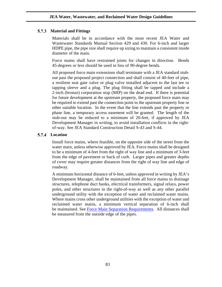# **Material and Fittings**

Materials shall be in accordance with the most recent JEA Water and Wastewater Standards Manual Section 429 and 430. For 6-inch and larger HDPE pipe, the pipe size shall require up sizing to maintain a consistent inside diameter of the main.

Force mains shall have restrained joints for changes in direction. Bends 45-degrees or less should be used in lieu of 90-degree bends.

All proposed force main extensions shall terminate with a JEA standard stubout past the proposed project connection and shall consist of 40-feet of pipe, a resilient seat gate valve or plug valve installed adjacent to the last tee or tapping sleeve and a plug. The plug fitting shall be tapped and include a 2-inch (bronze) corporation stop (MIP) on the dead end. If there is potential for future development at the upstream property, the proposed force main may be required to extend past the connection point to the upstream property line or other suitable location. In the event that the line extends past the property or phase line, a temporary access easement will be granted. The length of the stub-out may be reduced to a minimum of 20-feet, if approved by JEA Development Manager in writing, to avoid installation conflicts in the rightof-way. See JEA Standard Construction Detail S-43 and S-44.

#### 5.7.4 **Location**

Install force mains, where feasible, on the opposite side of the street from the water main, unless otherwise approved by JEA. Force mains shall be designed to be a minimum of 4-feet from the right of way line and a minimum of 3-feet from the edge of pavement or back of curb. Larger pipes and greater depths of cover may require greater distances from the right of way line and edge of roadway.

A minimum horizontal distance of 6-feet, unless approved in writing by JEA's Development Manager, shall be maintained from all force mains to drainage structures, telephone duct banks, electrical transformers, signal relays, power poles, and other structures in the right-of-way as well as any other parallel underground utility with the exception of water and reclaimed water mains. Where mains cross other underground utilities with the exception of water and reclaimed water mains, a minimum vertical separation of 6-inch shall be maintained. See [Force Main Separation](#page-83-0) Requirements. All distances shall be measured from the outside edge of the pipes.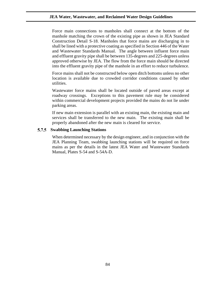Force main connections to manholes shall connect at the bottom of the manhole matching the crown of the existing pipe as shown in JEA Standard Construction Detail S-18. Manholes that force mains are discharging in to shall be lined with a protective coating as specified in Section 446 of the Water and Wastewater Standards Manual. The angle between influent force main and effluent gravity pipe shall be between 135-degrees and 225-degrees unless approved otherwise by JEA. The flow from the force main should be directed into the effluent gravity pipe of the manhole in an effort to reduce turbulence.

Force mains shall not be constructed below open ditch bottoms unless no other location is available due to crowded corridor conditions caused by other utilities.

Wastewater force mains shall be located outside of paved areas except at roadway crossings. Exceptions to this pavement rule may be considered within commercial development projects provided the mains do not lie under parking areas.

If new main extension is parallel with an existing main, the existing main and services shall be transferred to the new main. The existing main shall be properly abandoned after the new main is cleared for service.

#### 5.7.5 **Swabbing Launching Stations**

<span id="page-83-0"></span>When determined necessary by the design engineer, and in conjunction with the JEA Planning Team, swabbing launching stations will be required on force mains as per the details in the latest JEA Water and Wastewater Standards Manual, Plates S-54 and S-54A-D.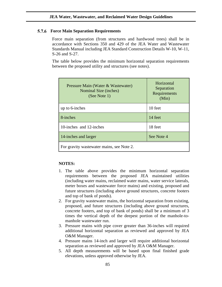## **Force Main Separation Requirements**

Force main separation (from structures and hardwood trees) shall be in accordance with Sections 350 and 429 of the JEA Water and Wastewater Standards Manual including JEA Standard Construction Details W-10, W-11, S-26 and S-27.

The table below provides the minimum horizontal separation requirements between the proposed utility and structures (see notes).

| Pressure Main (Water & Wastewater)<br>Nominal Size (inches)<br>(See Note 1) | Horizontal<br>Separation<br>Requirements<br>(Min) |  |
|-----------------------------------------------------------------------------|---------------------------------------------------|--|
| up to 6-inches                                                              | 10 feet                                           |  |
| 8-inches                                                                    | 14 feet                                           |  |
| 10-inches and 12-inches                                                     | 18 feet                                           |  |
| 14-inches and larger                                                        | See Note 4                                        |  |
| For gravity wastewater mains, see Note 2.                                   |                                                   |  |

### **NOTES:**

- 1. The table above provides the minimum horizontal separation requirements between the proposed JEA maintained utilities (including water mains, reclaimed water mains, water service laterals, meter boxes and wastewater force mains) and existing, proposed and future structures (including above ground structures, concrete footers and top of bank of ponds).
- 2. For gravity wastewater mains, the horizontal separation from existing, proposed, and future structures (including above ground structures, concrete footers, and top of bank of ponds) shall be a minimum of 3 times the vertical depth of the deepest portion of the manhole-tomanhole wastewater run.
- 3. Pressure mains with pipe cover greater than 36-inches will required additional horizontal separation as reviewed and approved by JEA O&M Manager.
- 4. Pressure mains 14-inch and larger will require additional horizontal separation as reviewed and approved by JEA O&M Manager.
- 5. All depth measurements will be based upon final finished grade elevations, unless approved otherwise by JEA.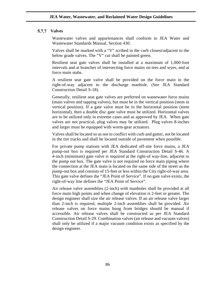## **Valves**

Wastewater valves and appurtenances shall conform to JEA Water and Wastewater Standards Manual, Section 430.

Valves shall be marked with a "V" scribed in the curb closest/adjacent to the below grade valves. The "V" cut shall be painted green.

Resilient seat gate valves shall be installed at a maximum of 1,000-foot intervals and at branches of intersecting force mains on tees and wyes, and at force main stubs.

A resilient seat gate valve shall be provided on the force main in the right-of-way adjacent to the discharge manhole. (See JEA Standard Construction Detail S-18).

Generally, resilient seat gate valves are preferred on wastewater force mains (main valves and tapping valves), but must be in the vertical position (stem in vertical position). If a gate valve must be in the horizontal position (stem horizontal), then a double disc gate valve must be utilized. Horizontal valves are to be utilized only in extreme cases and as approved by JEA. When gate valves are not practical, plug valves may be utilized. Plug valves 8-inches and larger must be equipped with worm-gear actuators.

Valves shall be located so as not to conflict with curb and gutter, not be located in the tire tracks and shall be located outside of pavement when possible.

For private pump stations with JEA dedicated off-site force mains, a JEA pump-out box is required per JEA Standard Construction Detail S-46. A 4-inch (minimum) gate valve is required at the right-of way-line, adjacent to the pump out box. The gate valve is not required on force main piping where the connection at the JEA main is located on the same side of the street as the pump-out box and consists of 15-feet or less within the City right-of-way area. This gate valve defines the "JEA Point of Service". If no gate valve exists, the right-of-way line defines the "JEA Point of Service".

Air release valve assemblies (2-inch) with manholes shall be provided at all force main high points and when change of elevation is 2-feet or greater. The design engineer shall size the air release valves. If an air release valve larger than 2-inch is required, multiple 2-inch assemblies shall be provided. Air release valves on force mains hung from bridges should be manual if accessible. Air release valves shall be constructed as per JEA Standard Construction Detail S-29. Combination valves (air release and vacuum valves) shall only be utilized if a major vacuum condition exists as specified by the design engineer.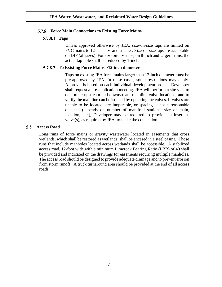# **Force Main Connections to Existing Force Mains**

# **5.7.8.1 Taps**

Unless approved otherwise by JEA, size-on-size taps are limited on PVC mains to 12-inch size and smaller. Size-on-size taps are acceptable on DIP (all sizes). For size-on-size taps, on 8-inch and larger mains, the actual tap hole shall be reduced by 1-inch.

# **To Existing Force Mains >12-inch diameter**

Taps on existing JEA force mains larger than 12-inch diameter must be pre-approved by JEA. In these cases, some restrictions may apply. Approval is based on each individual development project. Developer shall request a pre-application meeting. JEA will perform a site visit to determine upstream and downstream mainline valve locations, and to verify the mainline can be isolated by operating the valves. If valves are unable to be located, are inoperable, or spacing is not a reasonable distance (depends on number of manifold stations, size of main, location, etc.), Developer may be required to provide an insert avalve(s), as required by JEA, to make the connection.

#### **Access Road** 5.8

Long runs of force mains or gravity wastewater located in easements that cross wetlands, which shall be restored as wetlands, shall be encased in a steel casing. Those runs that include manholes located across wetlands shall be accessible. A stabilized access road, 12-foot wide with a minimum Limerock Bearing Ratio (LBR) of 40 shall be provided and indicated on the drawings for easements requiring multiple manholes. The access road should be designed to provide adequate drainage and to prevent erosion from storm runoff. A truck turnaround area should be provided at the end of all access roads.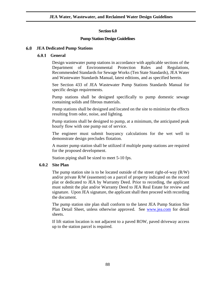# **Section 6.0**

# **Pump Station Design Guidelines**

#### 6.0 **JEA Dedicated Pump Stations**

#### 6.0.1 **General**

Design wastewater pump stations in accordance with applicable sections of the Department of Environmental Protection Rules and Regulations, Recommended Standards for Sewage Works (Ten State Standards), JEA Water and Wastewater Standards Manual, latest editions, and as specified herein.

See Section 433 of JEA Wastewater Pump Stations Standards Manual for specific design requirements.

Pump stations shall be designed specifically to pump domestic sewage containing solids and fibrous materials.

Pump stations shall be designed and located on the site to minimize the effects resulting from odor, noise, and lighting.

Pump stations shall be designed to pump, at a minimum, the anticipated peak hourly flow with one pump out of service.

The engineer must submit buoyancy calculations for the wet well to demonstrate design precludes flotation.

A master pump station shall be utilized if multiple pump stations are required for the proposed development.

Station piping shall be sized to meet 5-10 fps.

# **6.0.2 Site Plan**

The pump station site is to be located outside of the street right-of-way (R/W) and/or private R/W (easement) on a parcel of property indicated on the record plat or dedicated to JEA by Warranty Deed. Prior to recording, the applicant must submit the plat and/or Warranty Deed to JEA Real Estate for review and signature. Upon JEA signature, the applicant shall then proceed with recording the document.

The pump station site plan shall conform to the latest JEA Pump Station Site Plan Detail Sheet, unless otherwise approved. See [www.jea.com](https://www.jea.com/Engineering_and_Construction/Water_and_Wastewater_Standards/) for detail sheets.

If lift station location is not adjacent to a paved ROW, paved driveway access up to the station parcel is required.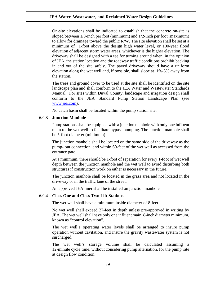On-site elevations shall be indicated to establish that the concrete on-site is sloped between 1/8-inch per foot (minimum) and 1/2-inch per foot (maximum) to allow for drainage toward the public R/W. The site elevation shall be set at a minimum of 1-foot above the design high water level, or 100-year flood elevation of adjacent storm water areas, whichever is the higher elevation. The driveway shall be designed with a tee for turning around when, in the opinion of JEA, the station location and the roadway traffic conditions prohibit backing in and out of the site safely. The paved driveway should have a uniform elevation along the wet well and, if possible, shall slope at 1%-5% away from the station.

The trees and ground cover to be used at the site shall be identified on the site landscape plan and shall conform to the JEA Water and Wastewater Standards Manual. For sites within Duval County, landscape and irrigation design shall conform to the JEA Standard Pump Station Landscape Plan (see [www.jea.com\)](http://www.jea.com/).

No catch basin shall be located within the pump station site.

# **6.0.3 Junction Manhole**

Pump stations shall be equipped with a junction manhole with only one influent main to the wet well to facilitate bypass pumping. The junction manhole shall be 5-foot diameter (minimum).

The junction manhole shall be located on the same side of the driveway as the pump- out connection, and within 60-feet of the wet well as accessed from the entrance gate.

At a minimum, there should be 1-foot of separation for every 1-foot of wet well depth between the junction manhole and the wet well to avoid disturbing both structures if construction work on either is necessary in the future.

The junction manhole shall be located in the grass area and not located in the driveway or in the traffic lane of the street.

An approved JEA liner shall be installed on junction manhole.

## **6.0.4 Class One and Class Two Lift Stations**

The wet well shall have a minimum inside diameter of 8-feet.

No wet well shall exceed 27-feet in depth unless pre-approved in writing by JEA. The wet well shall have only one influent main, 8-inch diameter minimum, known as "control elevation".

The wet well's operating water levels shall be arranged to insure pump operation without cavitation, and insure the gravity wastewater system is not surcharged.

The wet well's storage volume shall be calculated assuming a 12-minute cycle time, without considering pump alternation, for the pump rate at design flow condition.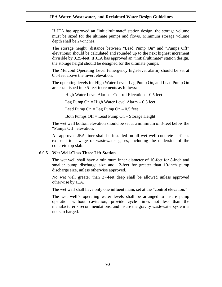If JEA has approved an "initial/ultimate" station design, the storage volume must be sized for the ultimate pumps and flows. Minimum storage volume depth shall be 24-inches.

The storage height (distance between "Lead Pump On" and "Pumps Off" elevations) should be calculated and rounded up to the next highest increment divisible by 0.25-feet. If JEA has approved an "initial/ultimate" station design, the storage height should be designed for the ultimate pumps.

The Mercoid Operating Level (emergency high-level alarm) should be set at 0.5-feet above the invert elevation.

The operating levels for High Water Level, Lag Pump On, and Lead Pump On are established in 0.5-feet increments as follows:

High Water Level Alarm  $=$  Control Elevation  $-0.5$  feet Lag Pump On  $=$  High Water Level Alarm  $-0.5$  feet

Lead Pump  $On = Lag$  Pump  $On - 0.5$  feet

Both Pumps Off = Lead Pump On – Storage Height

The wet well bottom elevation should be set at a minimum of 3-feet below the "Pumps Off" elevation.

An approved JEA liner shall be installed on all wet well concrete surfaces exposed to sewage or wastewater gases, including the underside of the concrete top slab.

### **6.0.5 Wet Well-Class Three Lift Station**

The wet well shall have a minimum inner diameter of 10-feet for 8-inch and smaller pump discharge size and 12-feet for greater than 10-inch pump discharge size, unless otherwise approved.

No wet well greater than 27-feet deep shall be allowed unless approved otherwise by JEA.

The wet well shall have only one influent main, set at the "control elevation."

The wet well's operating water levels shall be arranged to insure pump operation without cavitation, provide cycle times not less than the manufacturer's recommendations, and insure the gravity wastewater system is not surcharged.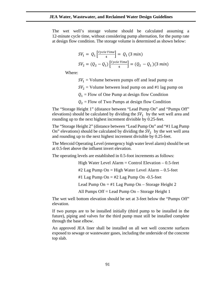The wet well's storage volume should be calculated assuming a 12-minute cycle time, without considering pump alternation, for the pump rate at design flow condition. The storage volume is determined as shown below:

$$
SV_1 = Q_1 \left[ \frac{Cycle\ Time}{4} \right] = Q_1 \left( 3\ min \right)
$$
  

$$
SV_2 = (Q_2 - Q_1) \left[ \frac{Cycle\ Time}{4} \right] = (Q_2 - Q_1) \left( 3\ min \right)
$$

Where:

 $SV_1$  = Volume between pumps off and lead pump on

 $SV_2$  = Volume between lead pump on and #1 lag pump on

 $Q_1$  = Flow of One Pump at design flow Condition

 $Q_2$  = Flow of Two Pumps at design flow Condition

The "Storage Height 1" (distance between "Lead Pump On" and "Pumps Off" elevations) should be calculated by dividing the  $SV_1$  by the wet well area and rounding up to the next highest increment divisible by 0.25-feet.

The "Storage Height 2" (distance between "Lead Pump On" and "#1 Lag Pump On" elevations) should be calculated by dividing the  $SV<sub>2</sub>$  by the wet well area and rounding up to the next highest increment divisible by 0.25-feet.

The Mercoid Operating Level (emergency high water level alarm) should be set at 0.5-feet above the influent invert elevation.

The operating levels are established in 0.5-foot increments as follows:

High Water Level Alarm  $=$  Control Elevation  $-0.5$ -feet  $#2$  Lag Pump On = High Water Level Alarm  $-0.5$ -feet #1 Lag Pump On =  $\#2$  Lag Pump On -0.5-feet Lead Pump On  $=$  #1 Lag Pump On  $-$  Storage Height 2 All Pumps Off = Lead Pump On – Storage Height 1

The wet well bottom elevation should be set at 3-feet below the "Pumps Off" elevation.

If two pumps are to be installed initially (third pump to be installed in the future), piping and valves for the third pump must still be installed complete through the base elbow.

An approved JEA liner shall be installed on all wet well concrete surfaces exposed to sewage or wastewater gases, including the underside of the concrete top slab.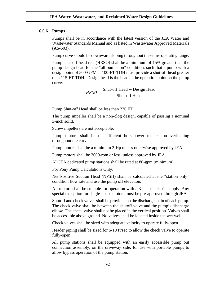### **6.0.6 Pumps**

Pumps shall be in accordance with the latest version of the JEA Water and Wastewater Standards Manual and as listed in Wastewater Approved Materials  $(AS-603)$ .

Pump curve should be downward sloping throughout the entire operating range.

Pump shut-off head rise (HRSO) shall be a minimum of 15% greater than the pump design head for the "all pumps on" condition, such that a pump with a design point of 500-GPM at 100-FT-TDH must provide a shut-off head greater than 115-FT-TDH. Design head is the head at the operation point on the pump curve.

> $HRSO = \frac{\text{Shut-off Head} - \text{Design Head}}{\text{SI} + \text{SST}}$ Shut-off Head

Pump Shut-off Head shall be less than 230 FT.

The pump impeller shall be a non-clog design, capable of passing a nominal 3-inch solid.

Screw impellers are not acceptable.

Pump motors shall be of sufficient horsepower to be non-overloading throughout the curve.

Pump motors shall be a minimum 3-Hp unless otherwise approved by JEA.

Pump motors shall be 3600-rpm or less, unless approved by JEA.

All JEA dedicated pump stations shall be rated at 80-gpm (minimum).

For Pony Pump Calculations Only:

Net Positive Suction Head (NPSH) shall be calculated at the "station only" condition flow rate and use the pump off elevation.

All motors shall be suitable for operation with a 3-phase electric supply. Any special exception for single-phase motors must be pre-approved through JEA.

Shutoff and check valves shall be provided on the discharge main of each pump. The check valve shall be between the shutoff valve and the pump's discharge elbow. The check valve shall not be placed in the vertical position. Valves shall be accessible above ground. No valves shall be located inside the wet well.

Check valves shall be sized with adequate velocity to operate fully-open.

Header piping shall be sized for 5-10 ft/sec to allow the check valve to operate fully-open.

All pump stations shall be equipped with an easily accessible pump out connection assembly, on the driveway side, for use with portable pumps to allow bypass operation of the pump station.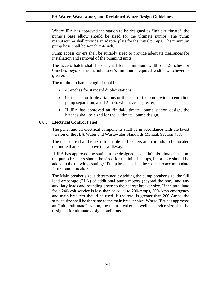Where JEA has approved the station to be designed as "initial/ultimate", the pump's base elbow should be sized for the ultimate pumps. The pump manufacturer shall provide an adapter plate for the initial pumps. The minimum pump base shall be 4-inch x 4-inch.

Pump access covers shall be suitably sized to provide adequate clearances for installation and removal of the pumping units.

The access hatch shall be designed for a minimum width of 42-inches, or 6-inches beyond the manufacturer's minimum required width, whichever is greater.

The minimum hatch length should be:

- 48-inches for standard duplex stations;
- 96-inches for triplex stations or the sum of the pump width, centerline pump separation, and 12-inch, whichever is greater;
- If JEA has approved an "initial/ultimate" pump station design, the hatches shall be sized for the "ultimate" pump design.

# **6.0.7 Electrical Control Panel**

The panel and all electrical components shall be in accordance with the latest version of the JEA Water and Wastewater Standards Manual, Section 433.

The enclosure shall be sized to enable all breakers and controls to be located not more than 5-feet above the walkway.

If JEA has approved the station to be designed as an "initial/ultimate" station, the pump breakers should be sized for the initial pumps, but a note should be added to the drawings stating: "Pump breakers shall be spaced to accommodate future pump breakers."

The Main breaker size is determined by adding the pump breaker size, the full load amperage (FLA) of additional pump motors (beyond the one), and any auxiliary loads and rounding down to the nearest breaker size. If the total load for a 240-volt service is less than or equal to 200-Amps, 200-Amp emergency and main breakers should be used. If the total is greater than 200-Amps, the service size shall be the same as the main breaker size. Where JEA has approved an "initial/ultimate" station, the main breaker, as well as service size shall be designed for ultimate design conditions.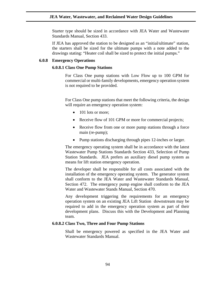Starter type should be sized in accordance with JEA Water and Wastewater Standards Manual, Section 433.

If JEA has approved the station to be designed as an "initial/ultimate" station, the starters shall be sized for the ultimate pumps with a note added to the drawings stating: "Heater coil shall be sized to protect the initial pumps."

## **6.0.8 Emergency Operations**

### **6.0.8.1 Class One Pump Stations**

For Class One pump stations with Low Flow up to 100 GPM for commercial or multi-family developments, emergency operation system is not required to be provided.

For Class One pump stations that meet the following criteria, the design will require an emergency operation system:

- 101 lots or more;
- Receive flow of 101 GPM or more for commercial projects;
- Receive flow from one or more pump stations through a force main (re-pump);
- Pump stations discharging through pipes 12-inches or larger.

The emergency operating system shall be in accordance with the latest Wastewater Pump Stations Standards Section 433, Selection of Pump Station Standards. JEA prefers an auxiliary diesel pump system as means for lift station emergency operation.

The developer shall be responsible for all costs associated with the installation of the emergency operating system. The generator system shall conform to the JEA Water and Wastewater Standards Manual, Section 472. The emergency pump engine shall conform to the JEA Water and Wastewater Stands Manual, Section 470.

Any development triggering the requirements for an emergency operation system on an existing JEA Lift Station downstream may be required to add in the emergency operation system as part of their development plans. Discuss this with the Development and Planning team.

## **6.0.8.2 Class Two, Three and Four Pump Stations**

Shall be emergency powered as specified in the JEA Water and Wastewater Standards Manual.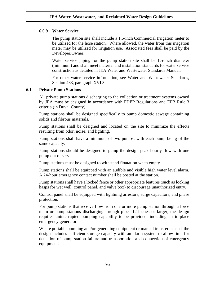# **6.0.9 Water Service**

The pump station site shall include a 1.5-inch Commercial Irrigation meter to be utilized for the hose station. Where allowed, the water from this irrigation meter may be utilized for irrigation use. Associated fees shall be paid by the Developer/Owner.

Water service piping for the pump station site shall be 1.5-inch diameter (minimum) and shall meet material and installation standards for water service construction as detailed in JEA Water and Wastewater Standards Manual.

For other water service information, see Water and Wastewater Standards, Section 433, paragraph XVI.3.

# **6.1 Private Pump Stations**

All private pump stations discharging to the collection or treatment systems owned by JEA must be designed in accordance with FDEP Regulations and EPB Rule 3 criteria (in Duval County).

Pump stations shall be designed specifically to pump domestic sewage containing solids and fibrous materials.

Pump stations shall be designed and located on the site to minimize the effects resulting from odor, noise, and lighting.

Pump stations shall have a minimum of two pumps, with each pump being of the same capacity.

Pump stations should be designed to pump the design peak hourly flow with one pump out of service.

Pump stations must be designed to withstand floatation when empty.

Pump stations shall be equipped with an audible and visible high water level alarm. A 24-hour emergency contact number shall be posted at the station.

Pump stations shall have a locked fence or other appropriate features (such as locking hasps for wet well, control panel, and valve box) to discourage unauthorized entry.

Control panel shall be equipped with lightning arrestors, surge capacitors, and phase protection.

For pump stations that receive flow from one or more pump station through a force main or pump stations discharging through pipes 12-inches or larger, the design requires uninterrupted pumping capability to be provided, including an in-place emergency generator.

Where portable pumping and/or generating equipment or manual transfer is used, the design includes sufficient storage capacity with an alarm system to allow time for detection of pump station failure and transportation and connection of emergency equipment.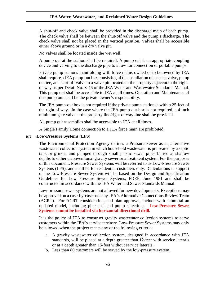A shut-off and check valve shall be provided in the discharge main of each pump. The check valve shall be between the shut-off valve and the pump's discharge. The check valve shall not be placed in the vertical position. Valves shall be accessible either above ground or in a dry valve pit.

No valves shall be located inside the wet well.

A pump out at the station shall be required. A pump out is an appropriate coupling device and valving to the discharge pipe to allow for connection of portable pumps.

Private pump stations manifolding with force mains owned or to be owned by JEA shall require a JEA pump-out box consisting of the installation of a check valve, pump out tee, and shut-off valve in a valve pit located on the property adjacent to the rightof-way as per Detail No. S-46 of the JEA Water and Wastewater Standards Manual. This pump out shall be accessible to JEA at all times. Operation and Maintenance of this pump out shall be the private owner's responsibility.

The JEA pump-out box is not required if the private pump station is within 25-feet of the right of way. In the case where the JEA pump-out box is not required, a 4-inch minimum gate valve at the property line/right of way line shall be provided.

All pump out assemblies shall be accessible to JEA at all times.

A Single Family Home connection to a JEA force main are prohibited.

### **Low-Pressure Systems (LPS)**

The Environmental Protection Agency defines a Pressure Sewer as an alternative wastewater collection system in which household wastewater is pretreated by a septic tank or grinder and pumped through small plastic sewer pipes buried at shallow depths to either a conventional gravity sewer or a treatment system. For the purposes of this document, Pressure Sewer Systems will be referred to as Low-Pressure Sewer Systems (LPS), and shall be for residential customers only. Calculations in support of the Low-Pressure Sewer System will be based on the Design and Specification Guidelines for Low Pressure Sewer Systems, FDEP, June 1981 and shall be constructed in accordance with the JEA Water and Sewer Standards Manual.

Low-pressure sewer systems are not allowed for new developments. Exceptions may be approved on a case-by-case basis by JEA's Alternative Connections Review Team (ACRT). For ACRT consideration, and plan approval, include with submittal an updated model, including pipe size and pump selections. **Low-Pressure Sewer Systems cannot be installed via horizontal directional drill.**

It is the policy of JEA to construct gravity wastewater collection systems to serve customers within the JEA's service territory. Low-Pressure Sewer Systems may only be allowed when the project meets any of the following criteria:

- a. A gravity wastewater collection system, designed in accordance with JEA standards, will be placed at a depth greater than 12-feet with service laterals or at a depth greater than 15-feet without service laterals.
- b. Less than 80 customers will be served by the low-pressure system.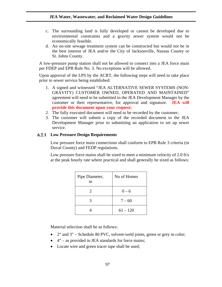- c. The surrounding land is fully developed or cannot be developed due to environmental constraints and a gravity sewer system would not be economically feasible.
- d. An on-site sewage treatment system can be constructed but would not be in the best interest of JEA and/or the City of Jacksonville, Nassau County or St. Johns County.

A low-pressure pump station shall not be allowed to connect into a JEA force main per FDEP and EPB Rule No. 3. No exceptions will be allowed.

Upon approval of the LPS by the ACRT, the following steps will need to take place prior to sewer service being established:

- 1. A signed and witnessed "JEA ALTERNATIVE SEWER SYSTEMS (NON-GRAVITY) CUSTOMER OWNED, OPERATED AND MAINTAINED" agreement will need to be submitted to the JEA Development Manager by the customer or their representative, for approval and signature. **JEA will provide this document upon your request;**
- 2. The fully executed document will need to be recorded by the customer;
- 3. The customer will submit a copy of the recorded document to the JEA Development Manager prior to submitting an application to set up sewer service.

# **Low Pressure Design Requirements**

Low pressure force main connections shall conform to EPB Rule 3 criteria (in Duval County) and FEDP regulations.

Low pressure force mains shall be sized to meet a minimum velocity of 2.0 ft/s at the peak hourly rate where practical and shall generally be sized as follows:

| Pipe Diameter,<br>in        | No of Homes |
|-----------------------------|-------------|
| $\mathcal{D}_{\mathcal{A}}$ | $0 - 6$     |
| 3                           | $7 - 60$    |
|                             | $61 - 120$  |

Material selection shall be as follows:

- 2" and 3" Schedule 80 PVC, solvent-weld joints, green or grey in color;
- 4" as provided in JEA standards for force mains;
- Locate wire and green tracer tape shall be used;